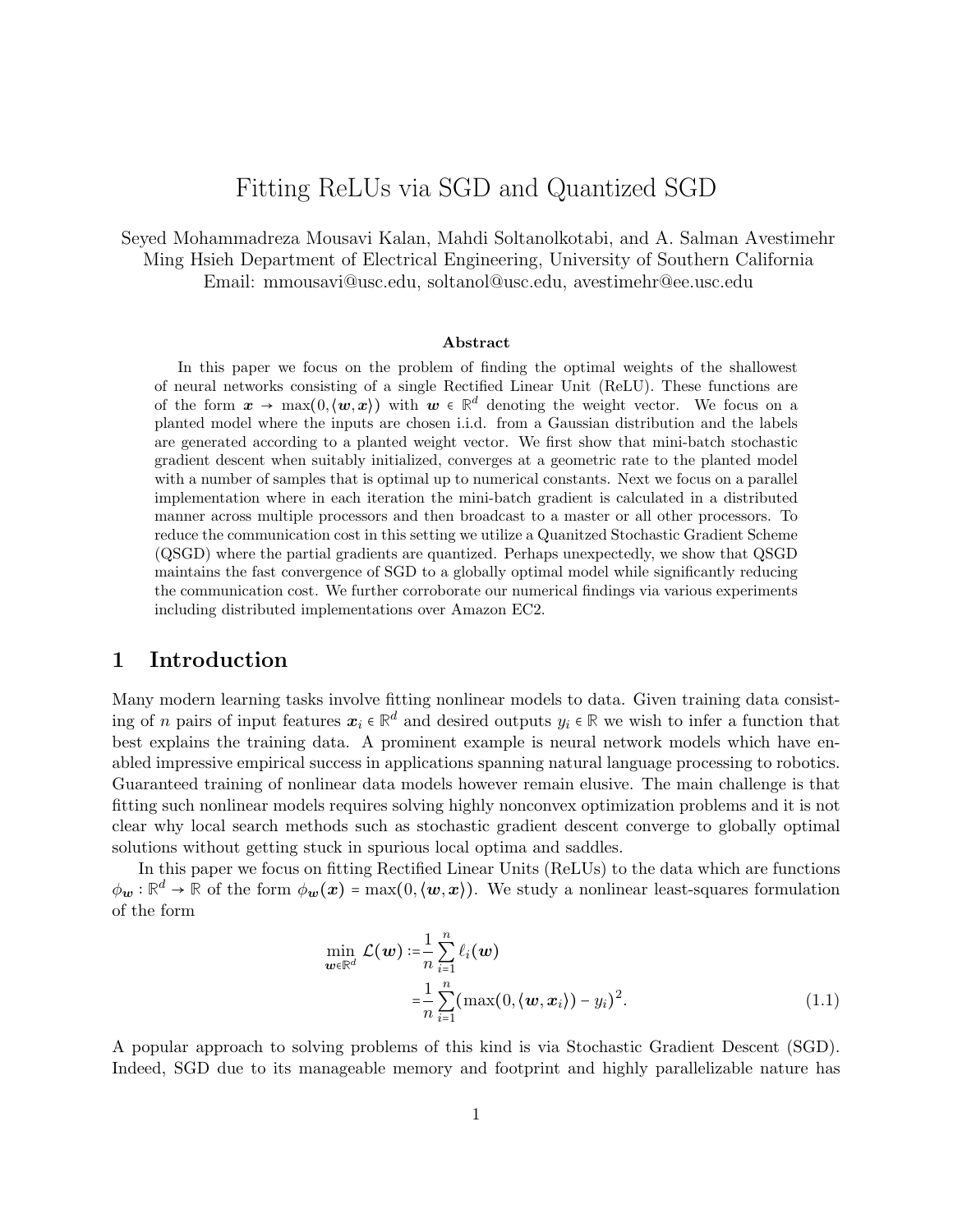# Fitting ReLUs via SGD and Quantized SGD

Seyed Mohammadreza Mousavi Kalan, Mahdi Soltanolkotabi, and A. Salman Avestimehr Ming Hsieh Department of Electrical Engineering, University of Southern California Email: mmousavi@usc.edu, soltanol@usc.edu, avestimehr@ee.usc.edu

#### Abstract

In this paper we focus on the problem of finding the optimal weights of the shallowest of neural networks consisting of a single Rectified Linear Unit (ReLU). These functions are of the form  $x \to \max(0, \langle w, x \rangle)$  with  $w \in \mathbb{R}^d$  denoting the weight vector. We focus on a planted model where the inputs are chosen i.i.d. from a Gaussian distribution and the labels are generated according to a planted weight vector. We first show that mini-batch stochastic gradient descent when suitably initialized, converges at a geometric rate to the planted model with a number of samples that is optimal up to numerical constants. Next we focus on a parallel implementation where in each iteration the mini-batch gradient is calculated in a distributed manner across multiple processors and then broadcast to a master or all other processors. To reduce the communication cost in this setting we utilize a Quanitzed Stochastic Gradient Scheme (QSGD) where the partial gradients are quantized. Perhaps unexpectedly, we show that QSGD maintains the fast convergence of SGD to a globally optimal model while significantly reducing the communication cost. We further corroborate our numerical findings via various experiments including distributed implementations over Amazon EC2.

### 1 Introduction

Many modern learning tasks involve fitting nonlinear models to data. Given training data consisting of n pairs of input features  $x_i \in \mathbb{R}^d$  and desired outputs  $y_i \in \mathbb{R}$  we wish to infer a function that best explains the training data. A prominent example is neural network models which have enabled impressive empirical success in applications spanning natural language processing to robotics. Guaranteed training of nonlinear data models however remain elusive. The main challenge is that fitting such nonlinear models requires solving highly nonconvex optimization problems and it is not clear why local search methods such as stochastic gradient descent converge to globally optimal solutions without getting stuck in spurious local optima and saddles.

In this paper we focus on fitting Rectified Linear Units (ReLUs) to the data which are functions  $\phi_{\bf w}: \mathbb{R}^d \to \mathbb{R}$  of the form  $\phi_{\bf w}({\bf x}) = \max(0, \langle {\bf w}, {\bf x} \rangle)$ . We study a nonlinear least-squares formulation of the form

<span id="page-0-0"></span>
$$
\min_{\mathbf{w}\in\mathbb{R}^d} \mathcal{L}(\mathbf{w}) := \frac{1}{n} \sum_{i=1}^n \ell_i(\mathbf{w})
$$
\n
$$
= \frac{1}{n} \sum_{i=1}^n (\max(0, \langle \mathbf{w}, \mathbf{x}_i \rangle) - y_i)^2.
$$
\n(1.1)

A popular approach to solving problems of this kind is via Stochastic Gradient Descent (SGD). Indeed, SGD due to its manageable memory and footprint and highly parallelizable nature has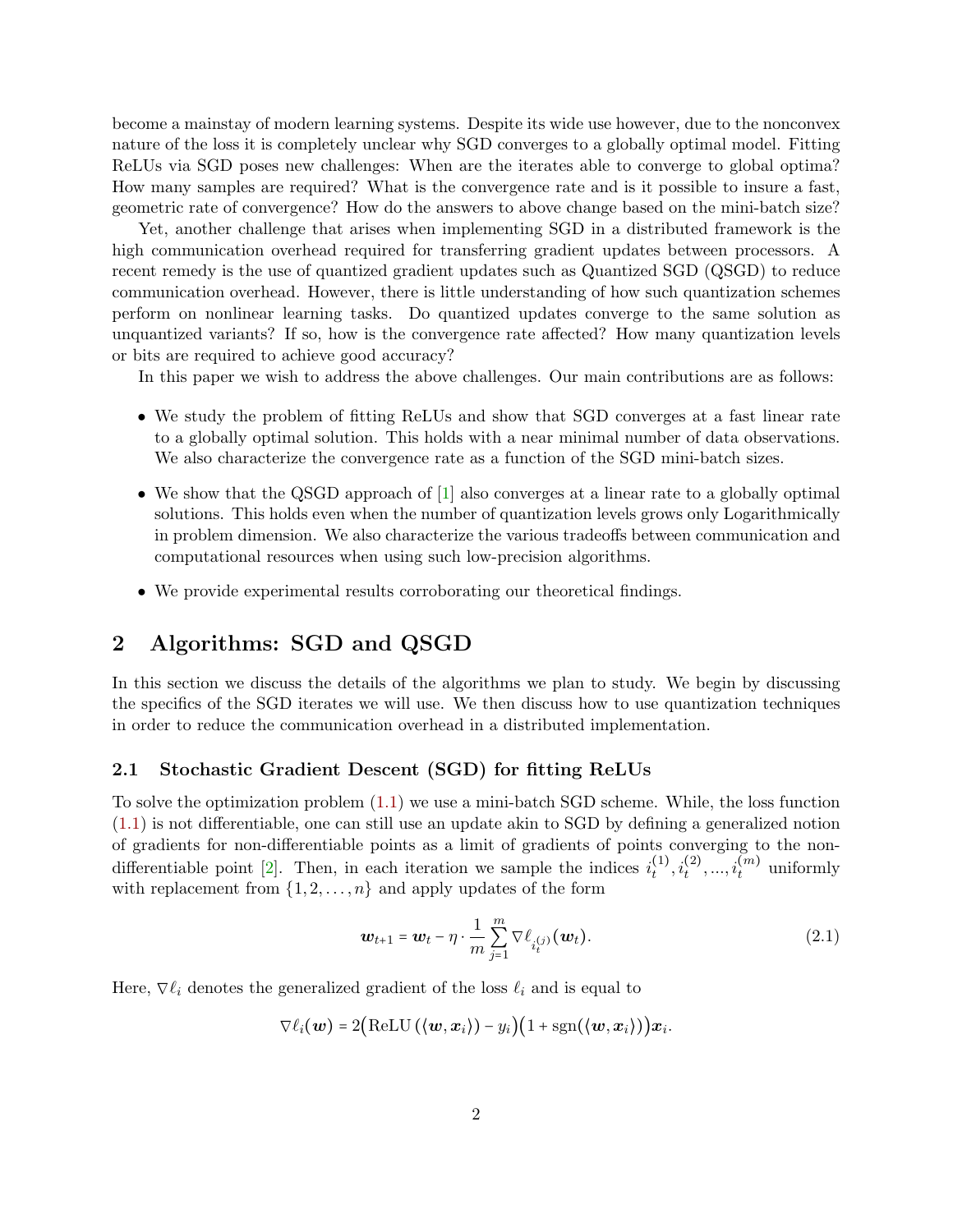become a mainstay of modern learning systems. Despite its wide use however, due to the nonconvex nature of the loss it is completely unclear why SGD converges to a globally optimal model. Fitting ReLUs via SGD poses new challenges: When are the iterates able to converge to global optima? How many samples are required? What is the convergence rate and is it possible to insure a fast, geometric rate of convergence? How do the answers to above change based on the mini-batch size?

Yet, another challenge that arises when implementing SGD in a distributed framework is the high communication overhead required for transferring gradient updates between processors. A recent remedy is the use of quantized gradient updates such as Quantized SGD (QSGD) to reduce communication overhead. However, there is little understanding of how such quantization schemes perform on nonlinear learning tasks. Do quantized updates converge to the same solution as unquantized variants? If so, how is the convergence rate affected? How many quantization levels or bits are required to achieve good accuracy?

In this paper we wish to address the above challenges. Our main contributions are as follows:

- We study the problem of fitting ReLUs and show that SGD converges at a fast linear rate to a globally optimal solution. This holds with a near minimal number of data observations. We also characterize the convergence rate as a function of the SGD mini-batch sizes.
- We show that the QSGD approach of [\[1\]](#page-14-0) also converges at a linear rate to a globally optimal solutions. This holds even when the number of quantization levels grows only Logarithmically in problem dimension. We also characterize the various tradeoffs between communication and computational resources when using such low-precision algorithms.
- We provide experimental results corroborating our theoretical findings.

## 2 Algorithms: SGD and QSGD

In this section we discuss the details of the algorithms we plan to study. We begin by discussing the specifics of the SGD iterates we will use. We then discuss how to use quantization techniques in order to reduce the communication overhead in a distributed implementation.

#### 2.1 Stochastic Gradient Descent (SGD) for fitting ReLUs

To solve the optimization problem [\(1.1\)](#page-0-0) we use a mini-batch SGD scheme. While, the loss function [\(1.1\)](#page-0-0) is not differentiable, one can still use an update akin to SGD by defining a generalized notion of gradients for non-differentiable points as a limit of gradients of points converging to the non-differentiable point [\[2\]](#page-15-0). Then, in each iteration we sample the indices  $i_t^{(1)}, i_t^{(2)}, ..., i_t^{(m)}$  uniformly with replacement from  $\{1, 2, \ldots, n\}$  and apply updates of the form

<span id="page-1-0"></span>
$$
\boldsymbol{w}_{t+1} = \boldsymbol{w}_t - \eta \cdot \frac{1}{m} \sum_{j=1}^{m} \nabla \ell_{i_t^{(j)}}(\boldsymbol{w}_t). \tag{2.1}
$$

<span id="page-1-1"></span>Here,  $\nabla \ell_i$  denotes the generalized gradient of the loss  $\ell_i$  and is equal to

$$
\nabla \ell_i(\boldsymbol{w}) = 2\big(\text{ReLU}\left(\langle \boldsymbol{w}, \boldsymbol{x}_i \rangle\right) - y_i\big)\big(1 + \text{sgn}(\langle \boldsymbol{w}, \boldsymbol{x}_i \rangle)\big)\boldsymbol{x}_i.
$$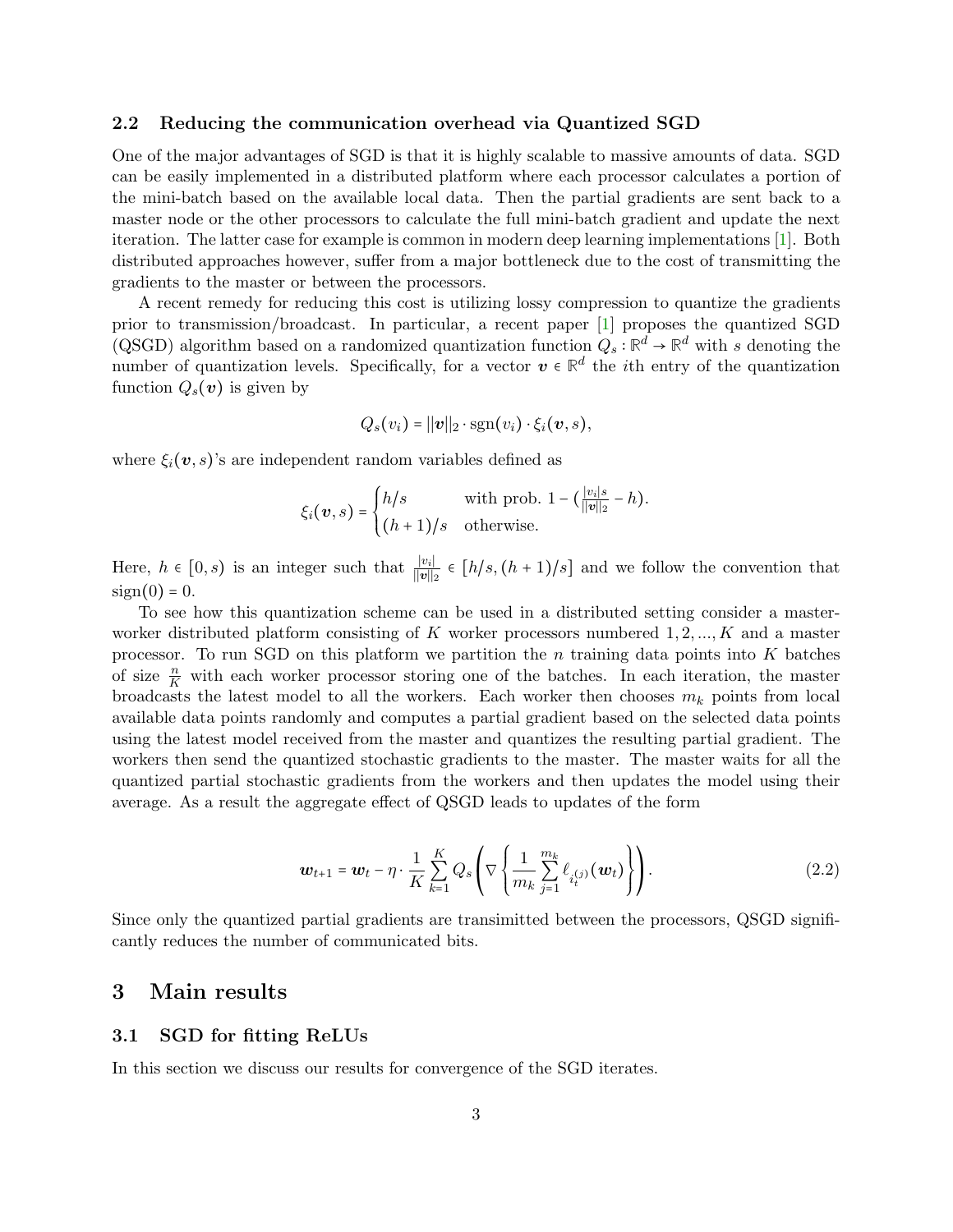### 2.2 Reducing the communication overhead via Quantized SGD

One of the major advantages of SGD is that it is highly scalable to massive amounts of data. SGD can be easily implemented in a distributed platform where each processor calculates a portion of the mini-batch based on the available local data. Then the partial gradients are sent back to a master node or the other processors to calculate the full mini-batch gradient and update the next iteration. The latter case for example is common in modern deep learning implementations [\[1\]](#page-14-0). Both distributed approaches however, suffer from a major bottleneck due to the cost of transmitting the gradients to the master or between the processors.

A recent remedy for reducing this cost is utilizing lossy compression to quantize the gradients prior to transmission/broadcast. In particular, a recent paper [\[1\]](#page-14-0) proposes the quantized SGD (QSGD) algorithm based on a randomized quantization function  $Q_s : \mathbb{R}^d \to \mathbb{R}^d$  with s denoting the number of quantization levels. Specifically, for a vector  $v \in \mathbb{R}^d$  the *i*th entry of the quantization function  $Q_s(v)$  is given by

$$
Q_s(v_i) = ||v||_2 \cdot \mathrm{sgn}(v_i) \cdot \xi_i(\boldsymbol{v}, s),
$$

where  $\xi_i(\mathbf{v},s)$ 's are independent random variables defined as

$$
\xi_i(\boldsymbol{v},s) = \begin{cases} h/s & \text{with prob. } 1 - \left( \frac{|v_i|s}{||\boldsymbol{v}||_2} - h \right). \\ (h+1)/s & \text{otherwise.} \end{cases}
$$

Here,  $h \in [0, s)$  is an integer such that  $\frac{|v_i|}{\|\mathbf{v}\|_2} \in [h/s, (h+1)/s]$  and we follow the convention that  $sign(0) = 0.$ 

To see how this quantization scheme can be used in a distributed setting consider a masterworker distributed platform consisting of K worker processors numbered  $1, 2, ..., K$  and a master processor. To run SGD on this platform we partition the n training data points into  $K$  batches of size  $\frac{n}{K}$  with each worker processor storing one of the batches. In each iteration, the master broadcasts the latest model to all the workers. Each worker then chooses  $m_k$  points from local available data points randomly and computes a partial gradient based on the selected data points using the latest model received from the master and quantizes the resulting partial gradient. The workers then send the quantized stochastic gradients to the master. The master waits for all the quantized partial stochastic gradients from the workers and then updates the model using their average. As a result the aggregate effect of QSGD leads to updates of the form

<span id="page-2-1"></span><span id="page-2-0"></span>
$$
\boldsymbol{w}_{t+1} = \boldsymbol{w}_t - \eta \cdot \frac{1}{K} \sum_{k=1}^K Q_s \left( \nabla \left\{ \frac{1}{m_k} \sum_{j=1}^{m_k} \ell_{i_t^{(j)}}(\boldsymbol{w}_t) \right\} \right). \tag{2.2}
$$

Since only the quantized partial gradients are transimitted between the processors, QSGD significantly reduces the number of communicated bits.

### 3 Main results

#### 3.1 SGD for fitting ReLUs

In this section we discuss our results for convergence of the SGD iterates.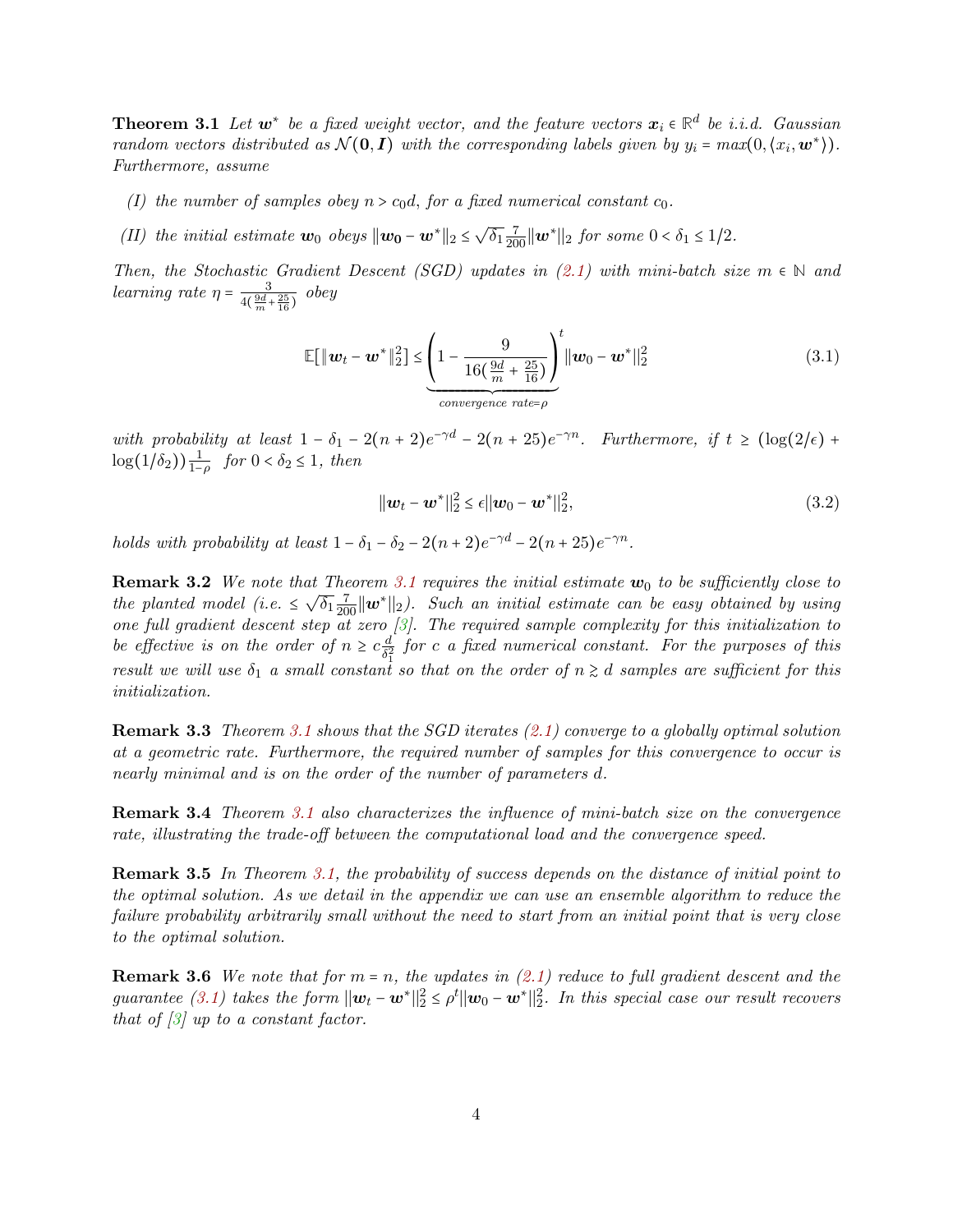**Theorem 3.1** Let  $w^*$  be a fixed weight vector, and the feature vectors  $x_i \in \mathbb{R}^d$  be i.i.d. Gaussian random vectors distributed as  $\mathcal{N}(\mathbf{0}, I)$  with the corresponding labels given by  $y_i = max(0, \langle x_i, \boldsymbol{w}^* \rangle)$ . Furthermore, assume

- (I) the number of samples obey  $n > c_0d$ , for a fixed numerical constant  $c_0$ .
- (II) the initial estimate  $w_0$  obeys  $||w_0 w^*||_2 \le$  $\sqrt{\delta_1} \frac{7}{200} ||\boldsymbol{w}^*||_2$  for some  $0 < \delta_1 \le 1/2$ .

Then, the Stochastic Gradient Descent (SGD) updates in [\(2.1\)](#page-1-0) with mini-batch size  $m \in \mathbb{N}$  and learning rate  $\eta = \frac{3}{4\ell^{9d}}$  $\frac{3}{4(\frac{9d}{m}+\frac{25}{16})}$  obey

$$
\mathbb{E}[\|\boldsymbol{w}_t - \boldsymbol{w}^*\|_2^2] \leq \underbrace{\left(1 - \frac{9}{16(\frac{9d}{m} + \frac{25}{16})}\right)}_{convergence\ rate = \rho} ||\boldsymbol{w}_0 - \boldsymbol{w}^*||_2^2
$$
\n(3.1)

with probability at least  $1 - \delta_1 - 2(n+2)e^{-\gamma d} - 2(n+25)e^{-\gamma n}$ . Furthermore, if  $t \geq (\log(2/\epsilon) +$  $\log(1/\delta_2)$ ) $\frac{1}{1-\rho}$  for  $0 < \delta_2 \le 1$ , then

<span id="page-3-0"></span>
$$
||\mathbf{w}_t - \mathbf{w}^*||_2^2 \le \epsilon ||\mathbf{w}_0 - \mathbf{w}^*||_2^2,
$$
\n(3.2)

holds with probability at least  $1 - \delta_1 - \delta_2 - 2(n+2)e^{-\gamma d} - 2(n+25)e^{-\gamma n}$ .

<span id="page-3-1"></span>**Remark 3.2** We note that Theorem [3.1](#page-2-0) requires the initial estimate  $w_0$  to be sufficiently close to **THE THE RESOLUTE THE PROTECT OF THE PLANE CONDUCT THE PLANE CONDUCT THE PLANE CONDUCT THE PLANE CONDUCT THE PLANE PLANE PLANE PLANE PLANE PLANE PLANE PLANE PLANE PLANE PLANE PLANE PLANE PLANE PLANE PLANE PLANE PLANE PLAN** one full gradient descent step at zero [\[3\]](#page-15-1). The required sample complexity for this initialization to be effective is on the order of  $n \geq c \frac{d}{\delta^2}$  $\frac{d}{\delta_1^2}$  for c a fixed numerical constant. For the purposes of this result we will use  $\delta_1$  a small constant so that on the order of  $n \geq d$  samples are sufficient for this initialization.

Remark 3.3 Theorem [3.1](#page-2-0) shows that the SGD iterates [\(2.1\)](#page-1-0) converge to a globally optimal solution at a geometric rate. Furthermore, the required number of samples for this convergence to occur is nearly minimal and is on the order of the number of parameters d.

Remark 3.4 Theorem [3.1](#page-2-0) also characterizes the influence of mini-batch size on the convergence rate, illustrating the trade-off between the computational load and the convergence speed.

Remark 3.5 In Theorem [3.1,](#page-2-0) the probability of success depends on the distance of initial point to the optimal solution. As we detail in the appendix we can use an ensemble algorithm to reduce the failure probability arbitrarily small without the need to start from an initial point that is very close to the optimal solution.

**Remark 3.6** We note that for  $m = n$ , the updates in [\(2.1\)](#page-1-0) reduce to full gradient descent and the guarantee [\(3.1\)](#page-3-0) takes the form  $\|\mathbf{w}_t - \mathbf{w}^*\|_2^2 \leq \rho^t \|\mathbf{w}_0 - \mathbf{w}^*\|_2^2$ . In this special case our result recovers that of  $\beta$  up to a constant factor.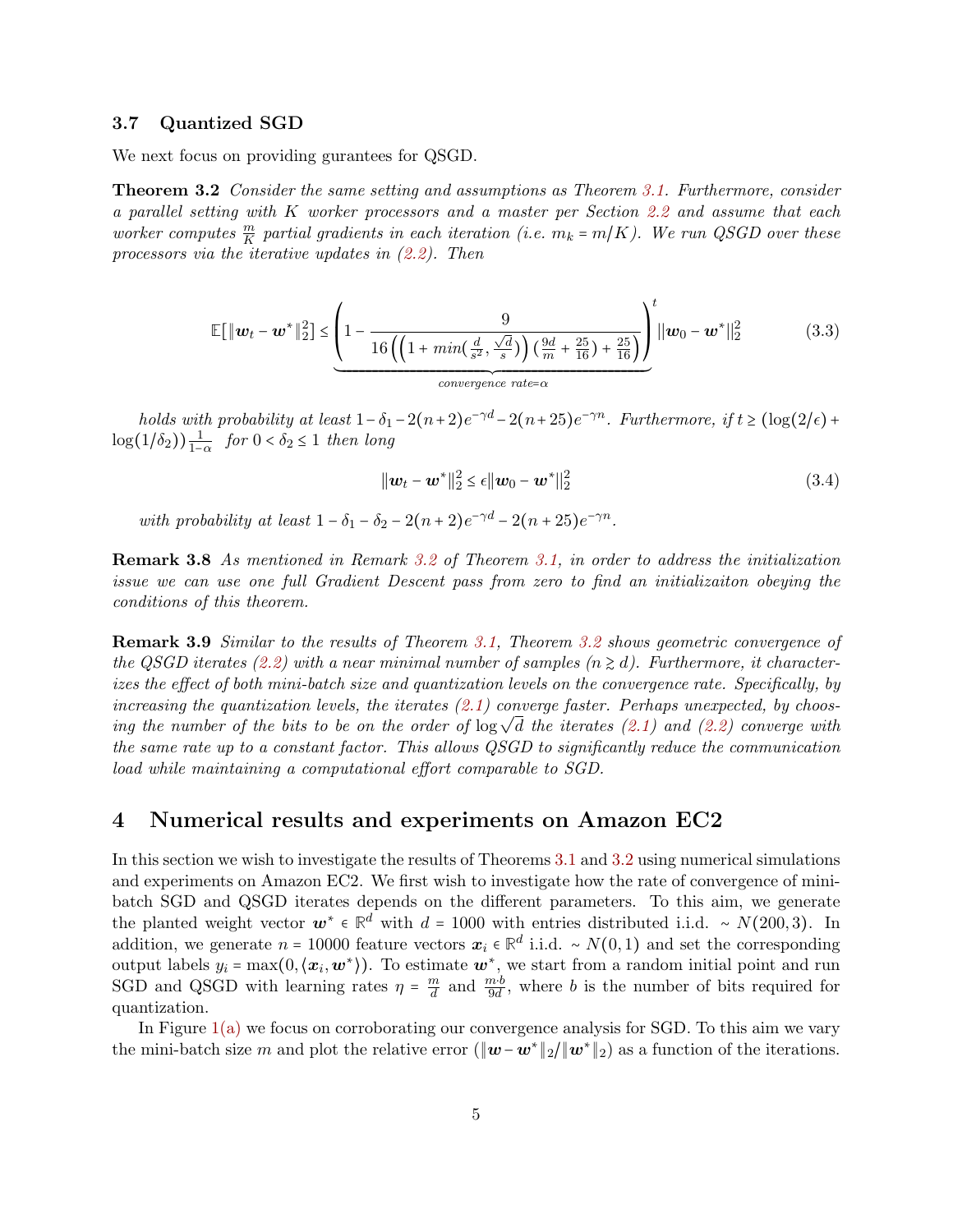#### 3.7 Quantized SGD

We next focus on providing gurantees for QSGD.

Theorem 3.2 Consider the same setting and assumptions as Theorem [3.1.](#page-2-0) Furthermore, consider a parallel setting with K worker processors and a master per Section [2.2](#page-1-1) and assume that each worker computes  $\frac{m}{K}$  partial gradients in each iteration (i.e.  $m_k = m/K$ ). We run QSGD over these processors via the iterative updates in [\(2.2\)](#page-2-1). Then

<span id="page-4-0"></span>
$$
\mathbb{E}[\|\boldsymbol{w}_t - \boldsymbol{w}^*\|_2^2] \leq \underbrace{\left(1 - \frac{9}{16\left(\left(1 + \min\left(\frac{d}{s^2}, \frac{\sqrt{d}}{s}\right)\right)\left(\frac{9d}{m} + \frac{25}{16}\right) + \frac{25}{16}\right)}\right)^t \|\boldsymbol{w}_0 - \boldsymbol{w}^*\|_2^2}{\text{convergence rate} = \alpha} \tag{3.3}
$$

holds with probability at least  $1-\delta_1 - 2(n+2)e^{-\gamma d} - 2(n+25)e^{-\gamma n}$ . Furthermore, if  $t \ge (\log(2/\epsilon) +$  $log(1/\delta_2))\frac{1}{1-\alpha}$  for  $0 < \delta_2 \leq 1$  then long

$$
\|\mathbf{w}_t - \mathbf{w}^*\|_2^2 \le \epsilon \|\mathbf{w}_0 - \mathbf{w}^*\|_2^2 \tag{3.4}
$$

with probability at least  $1 - \delta_1 - \delta_2 - 2(n+2)e^{-\gamma d} - 2(n+25)e^{-\gamma n}$ .

Remark 3.8 As mentioned in Remark [3.2](#page-3-1) of Theorem [3.1,](#page-2-0) in order to address the initialization issue we can use one full Gradient Descent pass from zero to find an initializaiton obeying the conditions of this theorem.

Remark 3.9 Similar to the results of Theorem [3.1,](#page-2-0) Theorem [3.2](#page-4-0) shows geometric convergence of the QSGD iterates [\(2.2\)](#page-2-1) with a near minimal number of samples  $(n \ge d)$ . Furthermore, it characterizes the effect of both mini-batch size and quantization levels on the convergence rate. Specifically, by increasing the quantization levels, the iterates  $(2.1)$  converge faster. Perhaps unexpected, by choos-increasing the quantization tevels, the iterates [\(2.1\)](#page-1-0) converge faster. I erral ps anexpected, by choos-<br>ing the number of the bits to be on the order of  $\log \sqrt{d}$  the iterates (2.1) and [\(2.2\)](#page-2-1) converge with the same rate up to a constant factor. This allows QSGD to significantly reduce the communication load while maintaining a computational effort comparable to SGD.

### 4 Numerical results and experiments on Amazon EC2

In this section we wish to investigate the results of Theorems [3.1](#page-2-0) and [3.2](#page-4-0) using numerical simulations and experiments on Amazon EC2. We first wish to investigate how the rate of convergence of minibatch SGD and QSGD iterates depends on the different parameters. To this aim, we generate the planted weight vector  $w^* \in \mathbb{R}^d$  with d = 1000 with entries distributed i.i.d. ~ N(200, 3). In addition, we generate  $n = 10000$  feature vectors  $\boldsymbol{x}_i \in \mathbb{R}^d$  i.i.d. ~  $N(0, 1)$  and set the corresponding output labels  $y_i = \max(0, \langle x_i, w^* \rangle)$ . To estimate  $w^*$ , we start from a random initial point and run SGD and QSGD with learning rates  $\eta = \frac{m}{d}$  $\frac{m}{d}$  and  $\frac{m \cdot b}{9d}$ , where b is the number of bits required for quantization.

In Figure  $1(a)$  $1(a)$  we focus on corroborating our convergence analysis for SGD. To this aim we vary the mini-batch size m and plot the relative error  $(\|\mathbf{w}-\mathbf{w}^*\|_2/\|\mathbf{w}^*\|_2)$  as a function of the iterations.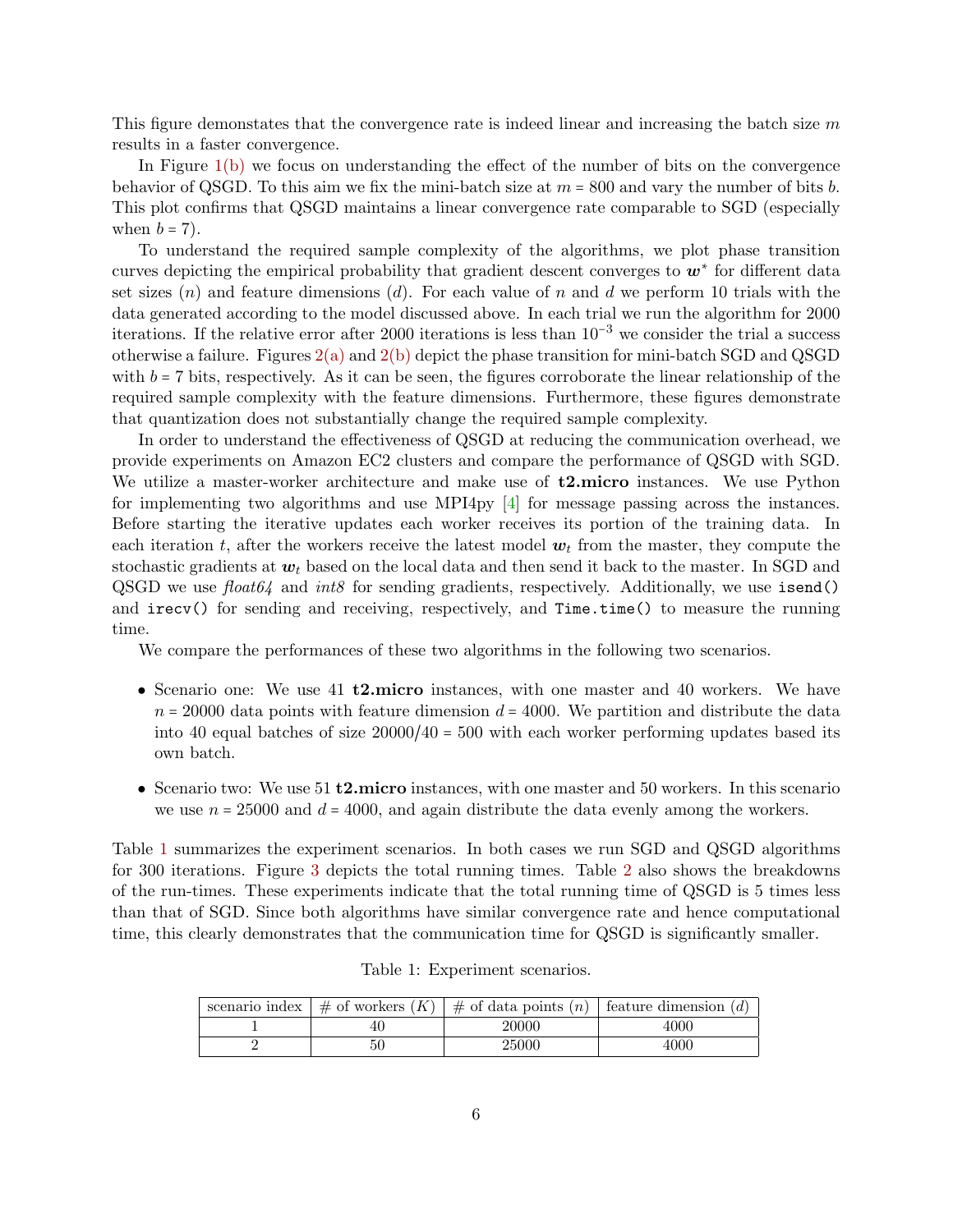This figure demonstates that the convergence rate is indeed linear and increasing the batch size  $m$ results in a faster convergence.

In Figure [1\(](#page-6-0)b) we focus on understanding the effect of the number of bits on the convergence behavior of QSGD. To this aim we fix the mini-batch size at  $m = 800$  and vary the number of bits b. This plot confirms that QSGD maintains a linear convergence rate comparable to SGD (especially when  $b = 7$ .

To understand the required sample complexity of the algorithms, we plot phase transition curves depicting the empirical probability that gradient descent converges to  $w^*$  for different data set sizes  $(n)$  and feature dimensions  $(d)$ . For each value of n and d we perform 10 trials with the data generated according to the model discussed above. In each trial we run the algorithm for 2000 iterations. If the relative error after 2000 iterations is less than  $10^{-3}$  we consider the trial a success otherwise a failure. Figures  $2(a)$  $2(a)$  and  $2(b)$  depict the phase transition for mini-batch SGD and QSGD with  $b = 7$  bits, respectively. As it can be seen, the figures corroborate the linear relationship of the required sample complexity with the feature dimensions. Furthermore, these figures demonstrate that quantization does not substantially change the required sample complexity.

In order to understand the effectiveness of QSGD at reducing the communication overhead, we provide experiments on Amazon EC2 clusters and compare the performance of QSGD with SGD. We utilize a master-worker architecture and make use of **t2.micro** instances. We use Python for implementing two algorithms and use MPI4py [\[4\]](#page-15-2) for message passing across the instances. Before starting the iterative updates each worker receives its portion of the training data. In each iteration t, after the workers receive the latest model  $w_t$  from the master, they compute the stochastic gradients at  $w_t$  based on the local data and then send it back to the master. In SGD and QSGD we use  $float64$  and  $ints$  for sending gradients, respectively. Additionally, we use isend() and irecv() for sending and receiving, respectively, and Time.time() to measure the running time.

We compare the performances of these two algorithms in the following two scenarios.

- Scenario one: We use 41 **t2.micro** instances, with one master and 40 workers. We have  $n = 20000$  data points with feature dimension  $d = 4000$ . We partition and distribute the data into 40 equal batches of size  $20000/40 = 500$  with each worker performing updates based its own batch.
- Scenario two: We use 51 **t2.micro** instances, with one master and 50 workers. In this scenario we use  $n = 25000$  and  $d = 4000$ , and again distribute the data evenly among the workers.

Table [1](#page-5-0) summarizes the experiment scenarios. In both cases we run SGD and QSGD algorithms for 300 iterations. Figure [3](#page-8-0) depicts the total running times. Table [2](#page-6-1) also shows the breakdowns of the run-times. These experiments indicate that the total running time of QSGD is 5 times less than that of SGD. Since both algorithms have similar convergence rate and hence computational time, this clearly demonstrates that the communication time for QSGD is significantly smaller.

<span id="page-5-0"></span>

|    |       | scenario index $\mid \#$ of workers $(K) \mid \#$ of data points $(n)$ feature dimension $(d)$ |
|----|-------|------------------------------------------------------------------------------------------------|
|    | 20000 | 4000                                                                                           |
| 50 | 25000 | 4000                                                                                           |

|  | Table 1: Experiment scenarios. |  |
|--|--------------------------------|--|
|  |                                |  |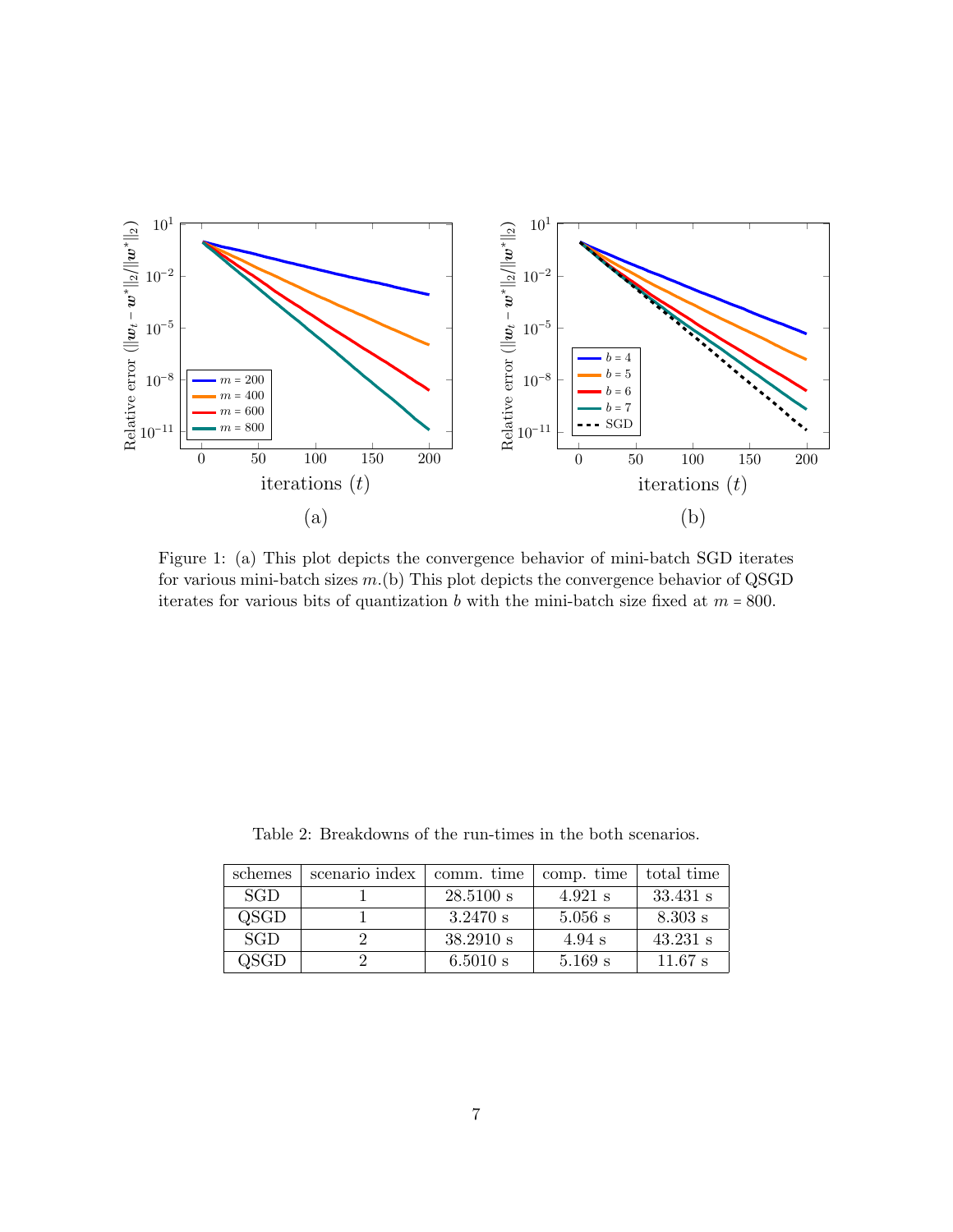<span id="page-6-0"></span>

Figure 1: (a) This plot depicts the convergence behavior of mini-batch SGD iterates for various mini-batch sizes  $m(p)$ . This plot depicts the convergence behavior of QSGD iterates for various bits of quantization  $b$  with the mini-batch size fixed at  $m = 800$ .

<span id="page-6-1"></span>

| schemes    | scenario index | comm. time         | comp. time | total time |
|------------|----------------|--------------------|------------|------------|
| SGD        |                | $28.5100$ s        | $4.921$ s  | $33.431$ s |
| QSGD       |                | 3.2470 s           | $5.056$ s  | 8.303 s    |
| <b>SGD</b> |                | 38.2910 s          | $4.94$ s   | 43.231 s   |
| QSGD       |                | $6.5010 \text{ s}$ | $5.169$ s  | $11.67$ s  |

Table 2: Breakdowns of the run-times in the both scenarios.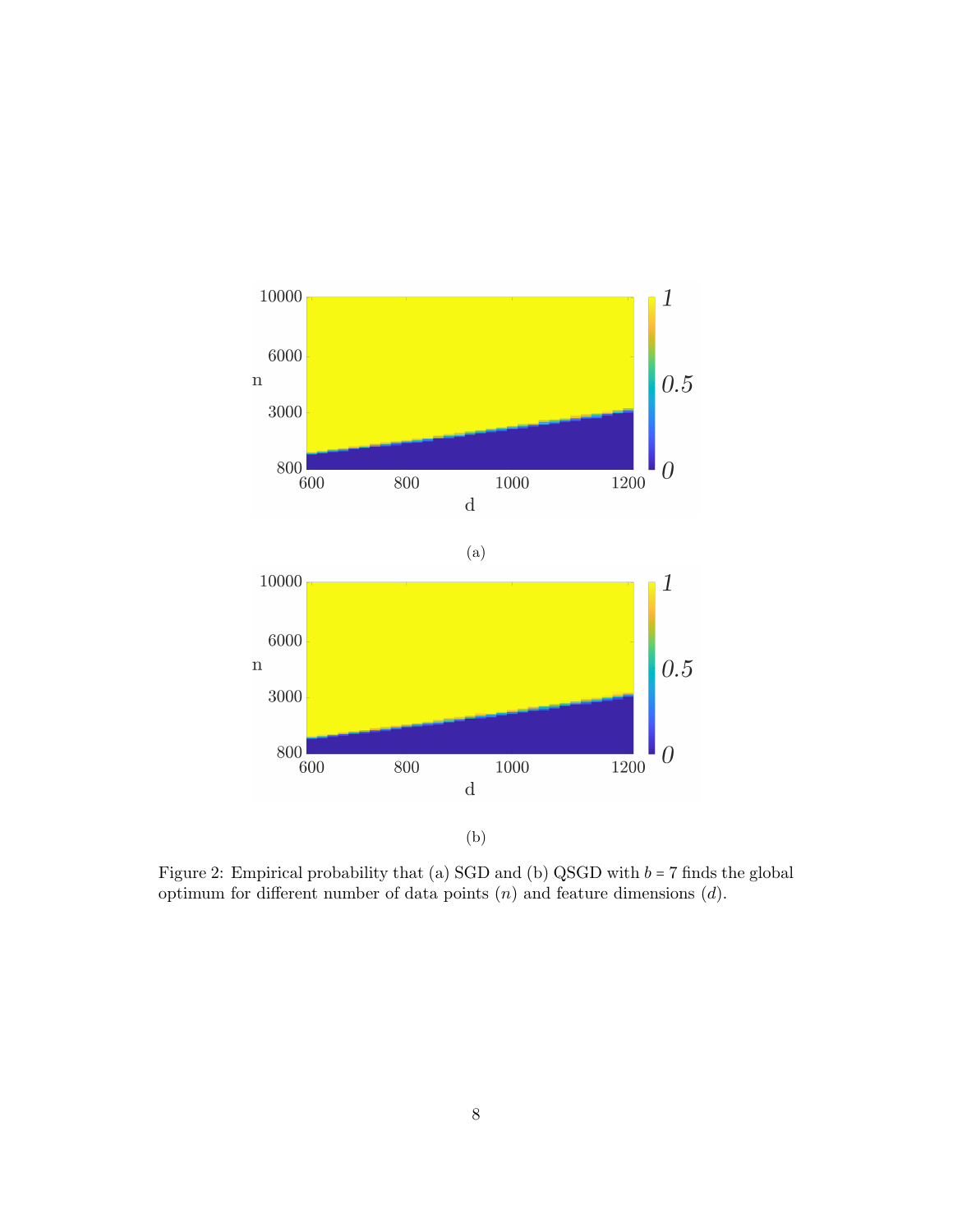<span id="page-7-0"></span>

Figure 2: Empirical probability that (a) SGD and (b) QSGD with  $b = 7$  finds the global optimum for different number of data points  $(n)$  and feature dimensions  $(d)$ .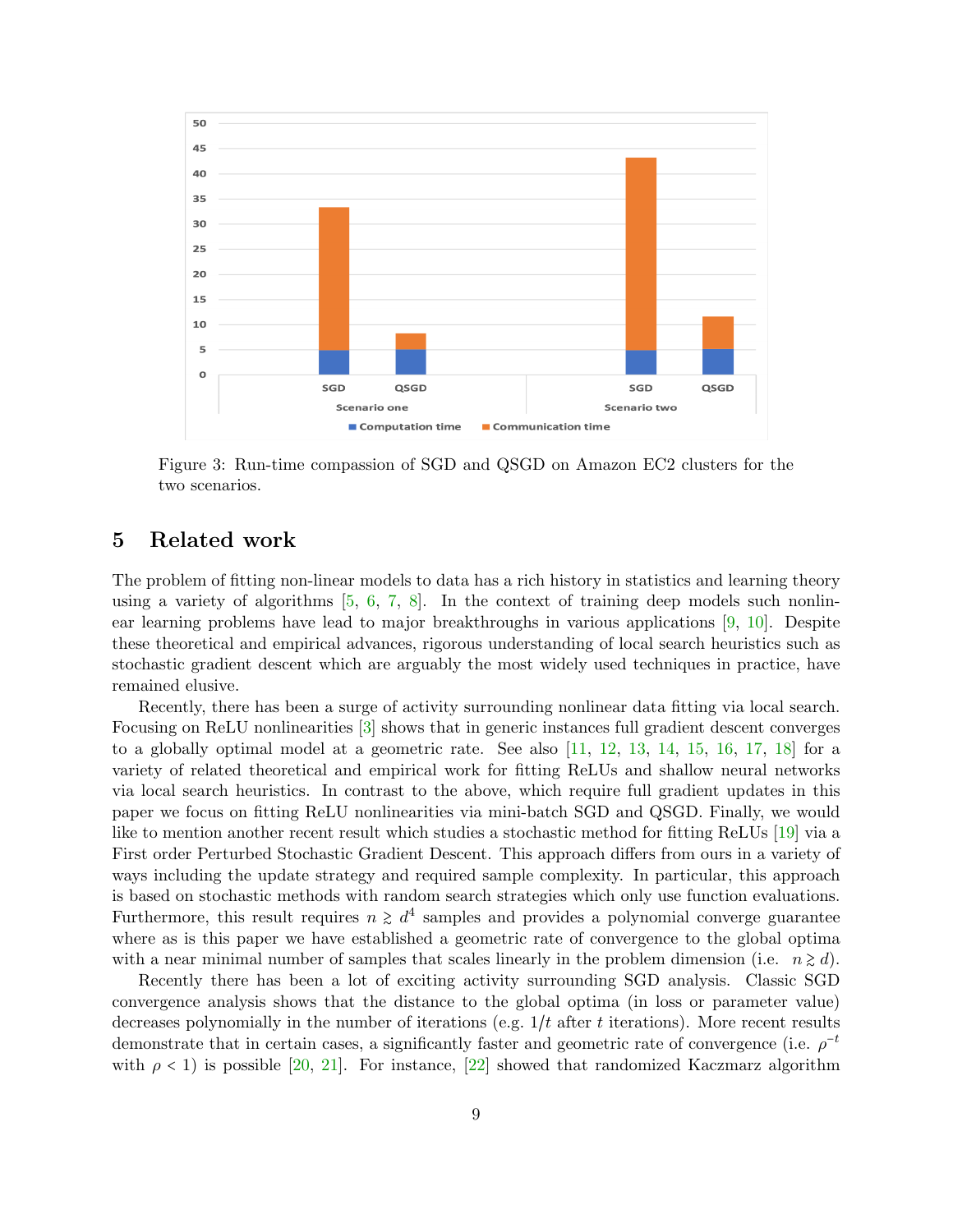<span id="page-8-0"></span>

Figure 3: Run-time compassion of SGD and QSGD on Amazon EC2 clusters for the two scenarios.

## 5 Related work

The problem of fitting non-linear models to data has a rich history in statistics and learning theory using a variety of algorithms  $[5, 6, 7, 8]$  $[5, 6, 7, 8]$  $[5, 6, 7, 8]$  $[5, 6, 7, 8]$  $[5, 6, 7, 8]$  $[5, 6, 7, 8]$  $[5, 6, 7, 8]$ . In the context of training deep models such nonlinear learning problems have lead to major breakthroughs in various applications [\[9,](#page-15-7) [10\]](#page-15-8). Despite these theoretical and empirical advances, rigorous understanding of local search heuristics such as stochastic gradient descent which are arguably the most widely used techniques in practice, have remained elusive.

Recently, there has been a surge of activity surrounding nonlinear data fitting via local search. Focusing on ReLU nonlinearities [\[3\]](#page-15-1) shows that in generic instances full gradient descent converges to a globally optimal model at a geometric rate. See also [\[11,](#page-15-9) [12,](#page-15-10) [13,](#page-15-11) [14,](#page-15-12) [15,](#page-15-13) [16,](#page-15-14) [17,](#page-15-15) [18\]](#page-16-0) for a variety of related theoretical and empirical work for fitting ReLUs and shallow neural networks via local search heuristics. In contrast to the above, which require full gradient updates in this paper we focus on fitting ReLU nonlinearities via mini-batch SGD and QSGD. Finally, we would like to mention another recent result which studies a stochastic method for fitting ReLUs [\[19\]](#page-16-1) via a First order Perturbed Stochastic Gradient Descent. This approach differs from ours in a variety of ways including the update strategy and required sample complexity. In particular, this approach is based on stochastic methods with random search strategies which only use function evaluations. Furthermore, this result requires  $n \geq d^4$  samples and provides a polynomial converge guarantee where as is this paper we have established a geometric rate of convergence to the global optima with a near minimal number of samples that scales linearly in the problem dimension (i.e.  $n \geq d$ ).

Recently there has been a lot of exciting activity surrounding SGD analysis. Classic SGD convergence analysis shows that the distance to the global optima (in loss or parameter value) decreases polynomially in the number of iterations (e.g.  $1/t$  after t iterations). More recent results demonstrate that in certain cases, a significantly faster and geometric rate of convergence (i.e.  $\rho^{-t}$ with  $\rho < 1$ ) is possible [\[20,](#page-16-2) [21\]](#page-16-3). For instance, [\[22\]](#page-16-4) showed that randomized Kaczmarz algorithm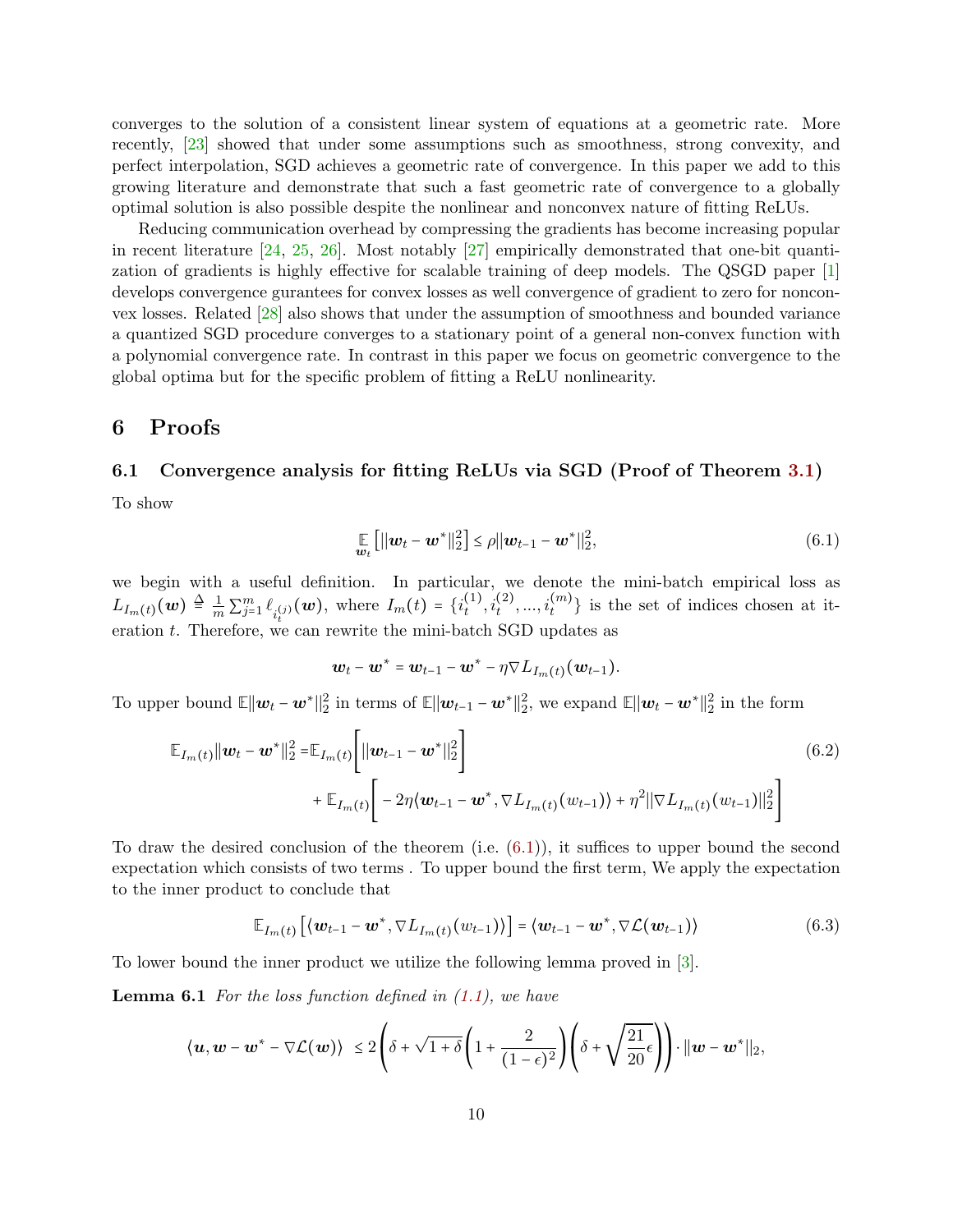converges to the solution of a consistent linear system of equations at a geometric rate. More recently, [\[23\]](#page-16-5) showed that under some assumptions such as smoothness, strong convexity, and perfect interpolation, SGD achieves a geometric rate of convergence. In this paper we add to this growing literature and demonstrate that such a fast geometric rate of convergence to a globally optimal solution is also possible despite the nonlinear and nonconvex nature of fitting ReLUs.

Reducing communication overhead by compressing the gradients has become increasing popular in recent literature  $[24, 25, 26]$  $[24, 25, 26]$  $[24, 25, 26]$  $[24, 25, 26]$  $[24, 25, 26]$ . Most notably  $[27]$  empirically demonstrated that one-bit quantization of gradients is highly effective for scalable training of deep models. The QSGD paper [\[1\]](#page-14-0) develops convergence gurantees for convex losses as well convergence of gradient to zero for nonconvex losses. Related [\[28\]](#page-16-10) also shows that under the assumption of smoothness and bounded variance a quantized SGD procedure converges to a stationary point of a general non-convex function with a polynomial convergence rate. In contrast in this paper we focus on geometric convergence to the global optima but for the specific problem of fitting a ReLU nonlinearity.

### 6 Proofs

### 6.1 Convergence analysis for fitting ReLUs via SGD (Proof of Theorem [3.1\)](#page-2-0)

To show

<span id="page-9-0"></span>
$$
\mathop{\mathbb{E}}_{\bm{w}_t} \left[ \|\bm{w}_t - \bm{w}^*\|_2^2 \right] \le \rho \|\bm{w}_{t-1} - \bm{w}^*\|_2^2, \tag{6.1}
$$

we begin with a useful definition. In particular, we denote the mini-batch empirical loss as  $L_{I_m(t)}(w) \triangleq \frac{1}{m} \sum_{j=1}^m \ell_{i_t^{(j)}}(w)$ , where  $I_m(t) = \{i_t^{(1)}, i_t^{(2)}, ..., i_t^{(m)}\}$  is the set of indices chosen at iteration t. Therefore, we can rewrite the mini-batch SGD updates as

<span id="page-9-3"></span><span id="page-9-2"></span>
$$
\boldsymbol{w}_t - \boldsymbol{w}^* = \boldsymbol{w}_{t-1} - \boldsymbol{w}^* - \eta \nabla L_{I_m(t)}(\boldsymbol{w}_{t-1}).
$$

To upper bound  $\mathbb{E}||\mathbf{w}_t - \mathbf{w}^*||_2^2$  in terms of  $\mathbb{E}||\mathbf{w}_{t-1} - \mathbf{w}^*||_2^2$ , we expand  $\mathbb{E}||\mathbf{w}_t - \mathbf{w}^*||_2^2$  in the form

$$
\mathbb{E}_{I_m(t)} ||\mathbf{w}_t - \mathbf{w}^*||_2^2 = \mathbb{E}_{I_m(t)} \Bigg[ ||\mathbf{w}_{t-1} - \mathbf{w}^*||_2^2 \Bigg] + \mathbb{E}_{I_m(t)} \Bigg[ -2\eta \langle \mathbf{w}_{t-1} - \mathbf{w}^*, \nabla L_{I_m(t)}(w_{t-1}) \rangle + \eta^2 ||\nabla L_{I_m(t)}(w_{t-1})||_2^2 \Bigg]
$$
(6.2)

To draw the desired conclusion of the theorem (i.e. [\(6.1\)](#page-9-0)), it suffices to upper bound the second expectation which consists of two terms . To upper bound the first term, We apply the expectation to the inner product to conclude that

<span id="page-9-1"></span>
$$
\mathbb{E}_{I_m(t)}\left[\langle \boldsymbol{w}_{t-1}-\boldsymbol{w}^*, \nabla L_{I_m(t)}(\boldsymbol{w}_{t-1})\rangle\right] = \langle \boldsymbol{w}_{t-1}-\boldsymbol{w}^*, \nabla \mathcal{L}(\boldsymbol{w}_{t-1})\rangle \tag{6.3}
$$

To lower bound the inner product we utilize the following lemma proved in [\[3\]](#page-15-1).

**Lemma 6.1** For the loss function defined in  $(1.1)$ , we have

$$
\langle \boldsymbol{u}, \boldsymbol{w}-\boldsymbol{w}^*-\nabla \mathcal{L}(\boldsymbol{w})\rangle \leq 2\left(\delta+\sqrt{1+\delta}\left(1+\frac{2}{(1-\epsilon)^2}\right)\left(\delta+\sqrt{\frac{21}{20}\epsilon}\right)\right)\cdot \|\boldsymbol{w}-\boldsymbol{w}^*\|_2,
$$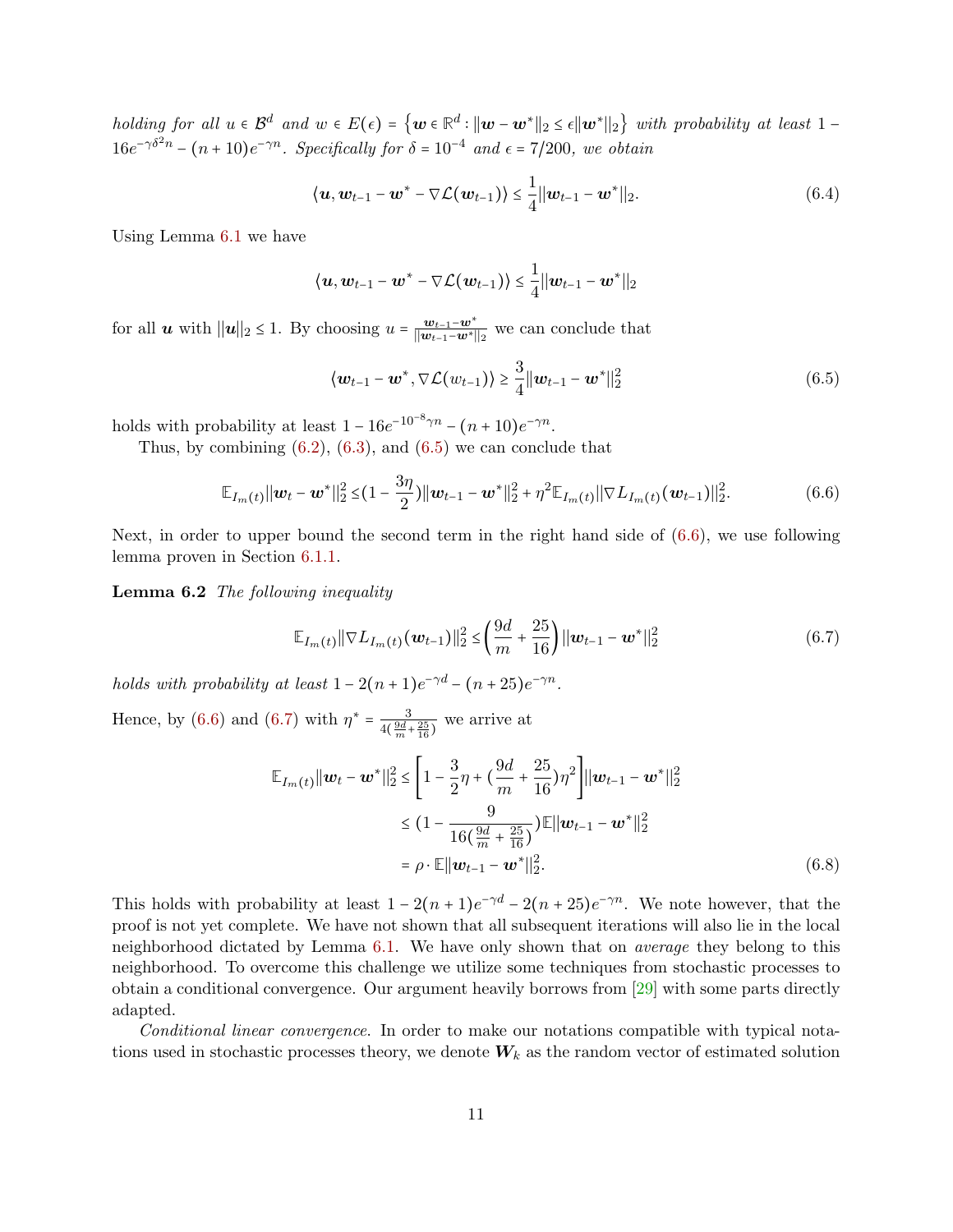$\textit{holding for all } u \in \mathcal{B}^d \textit{ and } w \in E(\epsilon) = \left\{ \boldsymbol{w} \in \mathbb{R}^d : ||\boldsymbol{w} - \boldsymbol{w}^*||_2 \leq \epsilon ||\boldsymbol{w}^*||_2 \right\} \textit{ with probability at least } 1-\epsilon.$  $16e^{-\gamma\delta^2 n} - (n+10)e^{-\gamma n}$ . Specifically for  $\delta = 10^{-4}$  and  $\epsilon = 7/200$ , we obtain

<span id="page-10-4"></span>
$$
\langle \boldsymbol{u}, \boldsymbol{w}_{t-1} - \boldsymbol{w}^* - \nabla \mathcal{L}(\boldsymbol{w}_{t-1}) \rangle \leq \frac{1}{4} ||\boldsymbol{w}_{t-1} - \boldsymbol{w}^*||_2.
$$
 (6.4)

Using Lemma [6.1](#page-9-1) we have

$$
\langle \boldsymbol{u}, \boldsymbol{w}_{t-1} - \boldsymbol{w}^* - \nabla \mathcal{L}(\boldsymbol{w}_{t-1}) \rangle \leq \frac{1}{4} ||\boldsymbol{w}_{t-1} - \boldsymbol{w}^*||_2
$$

for all **u** with  $||u||_2 \leq 1$ . By choosing  $u = \frac{w_{t-1}-w^*}{||w_{t-1}-w^*||}$  $\frac{\boldsymbol{w}_{t-1}-\boldsymbol{w}^*}{\|\boldsymbol{w}_{t-1}-\boldsymbol{w}^*\|_2}$  we can conclude that

<span id="page-10-1"></span><span id="page-10-0"></span>
$$
\langle \mathbf{w}_{t-1} - \mathbf{w}^*, \nabla \mathcal{L}(w_{t-1}) \rangle \ge \frac{3}{4} ||\mathbf{w}_{t-1} - \mathbf{w}^*||_2^2
$$
\n(6.5)

holds with probability at least  $1 - 16e^{-10^{-8}}\gamma^n - (n+10)e^{-\gamma n}$ .

Thus, by combining  $(6.2)$ ,  $(6.3)$ , and  $(6.5)$  we can conclude that

$$
\mathbb{E}_{I_m(t)} ||\mathbf{w}_t - \mathbf{w}^*||_2^2 \leq (1 - \frac{3\eta}{2}) ||\mathbf{w}_{t-1} - \mathbf{w}^*||_2^2 + \eta^2 \mathbb{E}_{I_m(t)} ||\nabla L_{I_m(t)}(\mathbf{w}_{t-1})||_2^2.
$$
 (6.6)

Next, in order to upper bound the second term in the right hand side of [\(6.6\)](#page-10-1), we use following lemma proven in Section [6.1.1.](#page-12-0)

Lemma 6.2 The following inequality

<span id="page-10-3"></span><span id="page-10-2"></span>
$$
\mathbb{E}_{I_m(t)} ||\nabla L_{I_m(t)}(\boldsymbol{w}_{t-1})||_2^2 \leq \left(\frac{9d}{m} + \frac{25}{16}\right) ||\boldsymbol{w}_{t-1} - \boldsymbol{w}^*||_2^2
$$
\n(6.7)

holds with probability at least  $1-2(n+1)e^{-\gamma d} - (n+25)e^{-\gamma n}$ .

Hence, by [\(6.6\)](#page-10-1) and [\(6.7\)](#page-10-2) with  $\eta^* = \frac{3}{4\left(\frac{9d}{5}\right)}$  $\frac{3}{4(\frac{9d}{m}+\frac{25}{16})}$  we arrive at

$$
\mathbb{E}_{I_m(t)} ||\mathbf{w}_t - \mathbf{w}^*||_2^2 \le \left[1 - \frac{3}{2}\eta + \left(\frac{9d}{m} + \frac{25}{16}\right)\eta^2\right] ||\mathbf{w}_{t-1} - \mathbf{w}^*||_2^2
$$
  
\n
$$
\le \left(1 - \frac{9}{16\left(\frac{9d}{m} + \frac{25}{16}\right)}\right) \mathbb{E}||\mathbf{w}_{t-1} - \mathbf{w}^*||_2^2
$$
  
\n
$$
= \rho \cdot \mathbb{E}||\mathbf{w}_{t-1} - \mathbf{w}^*||_2^2.
$$
 (6.8)

This holds with probability at least  $1 - 2(n+1)e^{-\gamma d} - 2(n+25)e^{-\gamma n}$ . We note however, that the proof is not yet complete. We have not shown that all subsequent iterations will also lie in the local neighborhood dictated by Lemma [6.1.](#page-9-1) We have only shown that on average they belong to this neighborhood. To overcome this challenge we utilize some techniques from stochastic processes to obtain a conditional convergence. Our argument heavily borrows from [\[29\]](#page-16-11) with some parts directly adapted.

Conditional linear convergence. In order to make our notations compatible with typical notations used in stochastic processes theory, we denote  $W_k$  as the random vector of estimated solution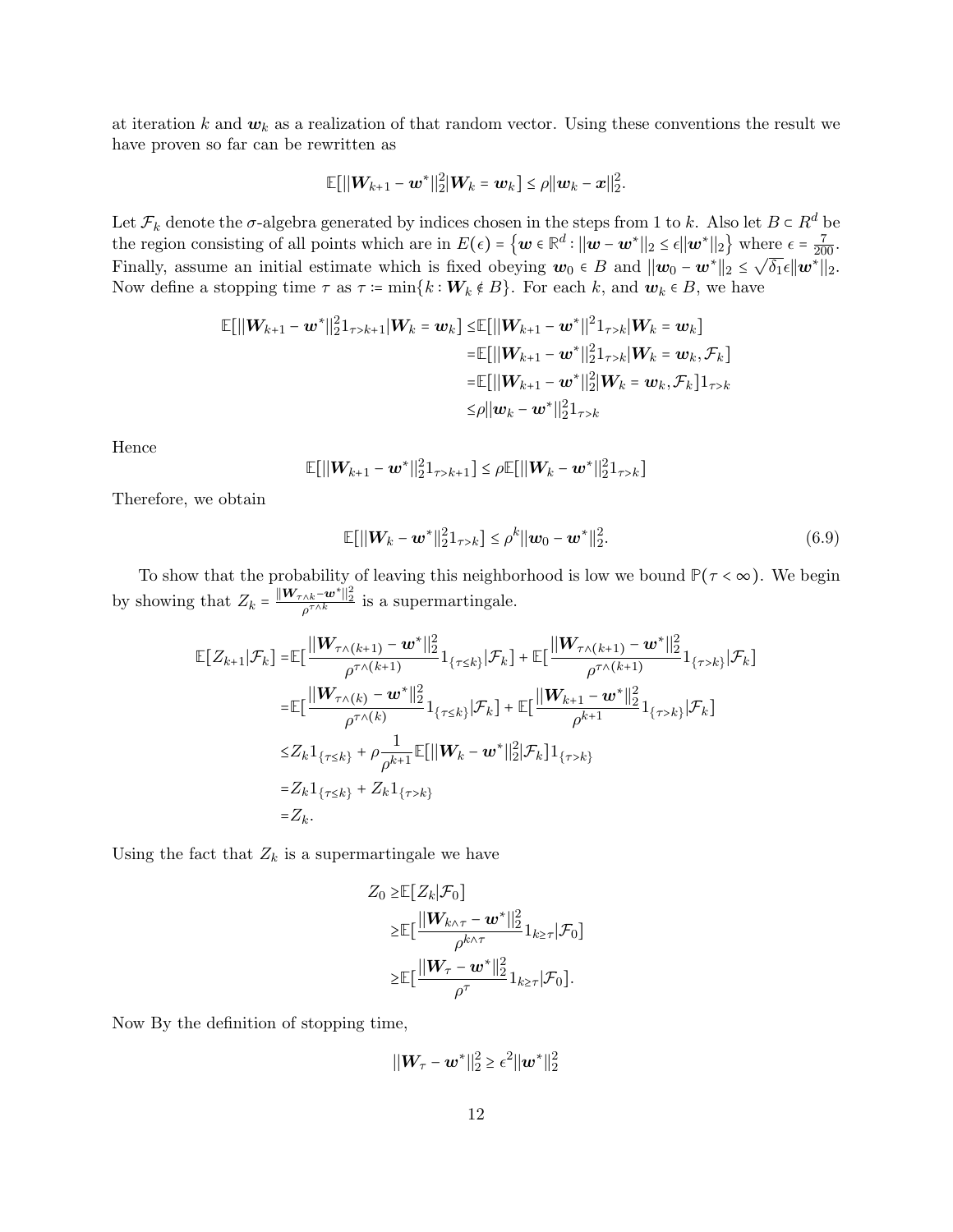at iteration k and  $w_k$  as a realization of that random vector. Using these conventions the result we have proven so far can be rewritten as

$$
\mathbb{E}[||\bm{W}_{k+1}-\bm{w}^*||_2^2|\bm{W}_k=\bm{w}_k]\leq \rho||\bm{w}_k-\bm{x}||_2^2.
$$

Let  $\mathcal{F}_k$  denote the  $\sigma$ -algebra generated by indices chosen in the steps from 1 to k. Also let  $B \subset R^d$  be the region consisting of all points which are in  $E(\epsilon) = \{w \in \mathbb{R}^d : ||w - w^*||_2 \le \epsilon ||w^*||_2\}$  where  $\epsilon = \frac{70}{200}$ . Finally, assume an initial estimate which is fixed obeying  $w_0 \in B$  and  $||w_0 - w^*||_2 \le \sqrt{\delta_1} \epsilon ||w^*||_2$ . Now define a stopping time  $\tau$  as  $\tau := \min\{k : \mathbf{W}_k \notin B\}$ . For each k, and  $\mathbf{w}_k \in B$ , we have

$$
\mathbb{E}[\|\mathbf{W}_{k+1} - \mathbf{w}^*\|_2^2 \mathbb{1}_{\tau > k+1} |\mathbf{W}_k = \mathbf{w}_k] \leq \mathbb{E}[\|\mathbf{W}_{k+1} - \mathbf{w}^*\|^2 \mathbb{1}_{\tau > k} |\mathbf{W}_k = \mathbf{w}_k]
$$
\n
$$
= \mathbb{E}[\|\mathbf{W}_{k+1} - \mathbf{w}^*\|_2^2 \mathbb{1}_{\tau > k} |\mathbf{W}_k = \mathbf{w}_k, \mathcal{F}_k]
$$
\n
$$
= \mathbb{E}[\|\mathbf{W}_{k+1} - \mathbf{w}^*\|_2^2 |\mathbf{W}_k = \mathbf{w}_k, \mathcal{F}_k] \mathbb{1}_{\tau > k}
$$
\n
$$
\leq \rho \|\mathbf{w}_k - \mathbf{w}^*\|_2^2 \mathbb{1}_{\tau > k}
$$

Hence

$$
\mathbb{E}[||\bm{W}_{k+1}-\bm{w}^*||_2^2\bm{1}_{\tau>k+1}] \leq \rho \mathbb{E}[||\bm{W}_k-\bm{w}^*||_2^2\bm{1}_{\tau>k}]
$$

Therefore, we obtain

<span id="page-11-0"></span>
$$
\mathbb{E}[\|\mathbf{W}_k - \mathbf{w}^*\|_2^2 \mathbf{1}_{\tau > k}] \le \rho^k \|\mathbf{w}_0 - \mathbf{w}^*\|_2^2. \tag{6.9}
$$

To show that the probability of leaving this neighborhood is low we bound  $\mathbb{P}(\tau < \infty)$ . We begin by showing that  $Z_k = \frac{\|\mathbf{W}_{\tau\wedge k} - \mathbf{w}^*\|_2^2}{\rho^{\tau\wedge k}}$  is a supermartingale.

$$
\mathbb{E}[Z_{k+1}|\mathcal{F}_k] = \mathbb{E}[\frac{\|\mathbf{W}_{\tau\wedge(k+1)} - \mathbf{w}^*\|_2^2}{\rho^{\tau\wedge(k+1)}} 1_{\{\tau \leq k\}}|\mathcal{F}_k] + \mathbb{E}[\frac{\|\mathbf{W}_{\tau\wedge(k+1)} - \mathbf{w}^*\|_2^2}{\rho^{\tau\wedge(k+1)}} 1_{\{\tau > k\}}|\mathcal{F}_k]
$$
\n
$$
= \mathbb{E}[\frac{\|\mathbf{W}_{\tau\wedge(k)} - \mathbf{w}^*\|_2^2}{\rho^{\tau\wedge(k)}} 1_{\{\tau \leq k\}}|\mathcal{F}_k] + \mathbb{E}[\frac{\|\mathbf{W}_{k+1} - \mathbf{w}^*\|_2^2}{\rho^{k+1}} 1_{\{\tau > k\}}|\mathcal{F}_k]
$$
\n
$$
\leq Z_k 1_{\{\tau \leq k\}} + \rho \frac{1}{\rho^{k+1}} \mathbb{E}[\|\mathbf{W}_k - \mathbf{w}^*\|_2^2|\mathcal{F}_k] 1_{\{\tau > k\}}
$$
\n
$$
= Z_k 1_{\{\tau \leq k\}} + Z_k 1_{\{\tau > k\}}
$$
\n
$$
= Z_k.
$$

Using the fact that  $Z_k$  is a supermartingale we have

$$
Z_0 \geq \mathbb{E}\big[Z_k|\mathcal{F}_0\big]
$$
  
\n
$$
\geq \mathbb{E}\big[\frac{\|\mathbf{W}_{k \wedge \tau} - \mathbf{w}^*\|_2^2}{\rho^{k \wedge \tau}} 1_{k \geq \tau}|\mathcal{F}_0\big]
$$
  
\n
$$
\geq \mathbb{E}\big[\frac{\|\mathbf{W}_{\tau} - \mathbf{w}^*\|_2^2}{\rho^{\tau}} 1_{k \geq \tau}|\mathcal{F}_0\big].
$$

Now By the definition of stopping time,

$$
||\bm{W}_{\tau}-\bm{w}^*||_2^2 \geq \epsilon^2 ||\bm{w}^*||_2^2
$$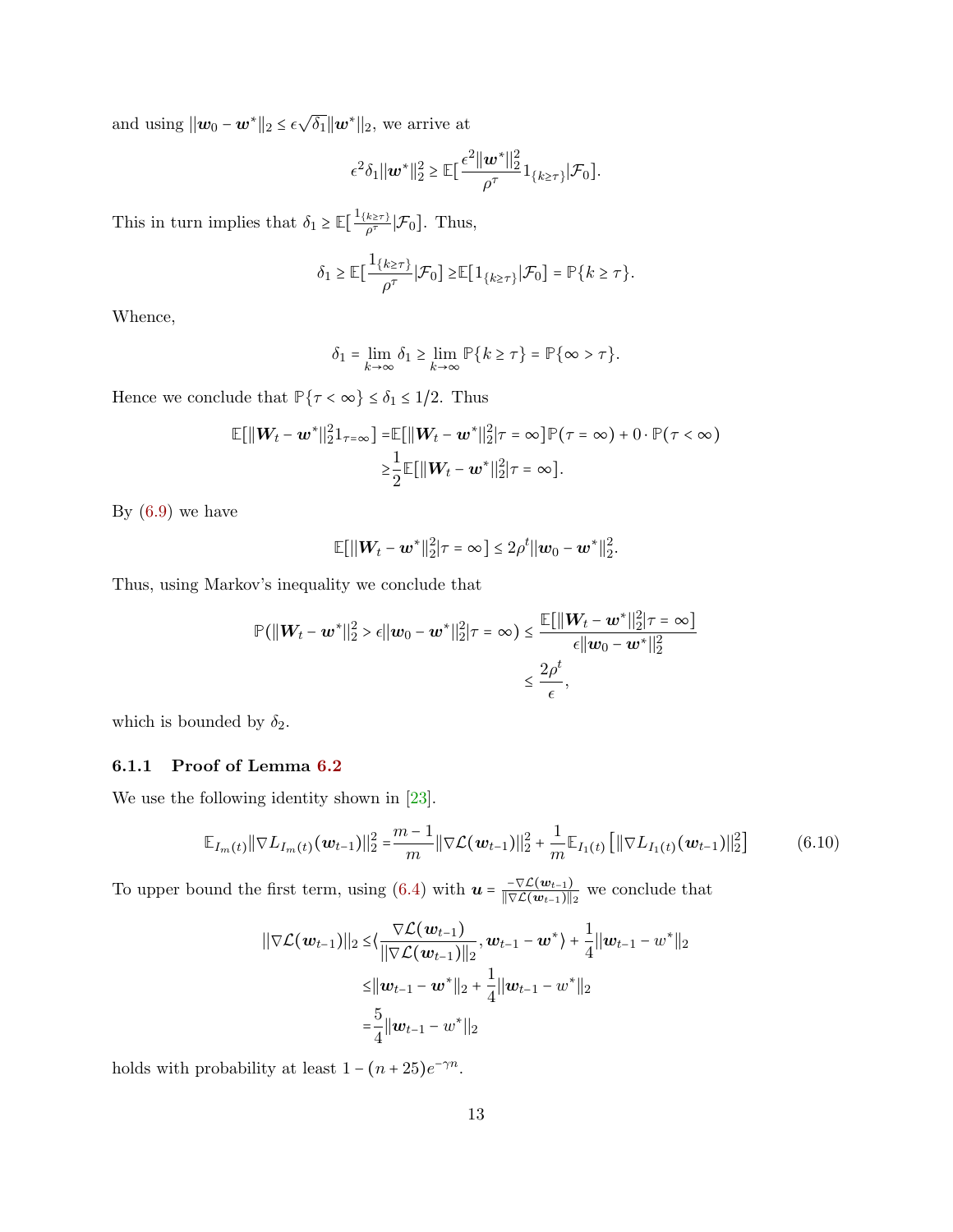and using  $||\boldsymbol{w}_0 - \boldsymbol{w}^*||_2 \le \epsilon \sqrt{\delta_1} ||\boldsymbol{w}^*||_2$ , we arrive at

$$
\epsilon^2 \delta_1 ||\boldsymbol{w}^*||_2^2 \geq \mathbb{E} \big[ \frac{\epsilon^2 ||\boldsymbol{w}^*||_2^2}{\rho^{\tau}} 1_{\{k \geq \tau\}} |\mathcal{F}_0 \big].
$$

This in turn implies that  $\delta_1 \geq \mathbb{E} \left[ \frac{1_{\{k \geq \tau\}}}{\rho^{\tau}} \right]$  $\frac{k \geq \tau}{\rho^{\tau}}$  |  $\mathcal{F}_0$  ]. Thus,

$$
\delta_1 \geq \mathbb{E}\big[\frac{1_{\{k \geq \tau\}}}{\rho^{\tau}} \big| \mathcal{F}_0\big] \geq \mathbb{E}\big[\mathbf{1}_{\{k \geq \tau\}} \big| \mathcal{F}_0\big] = \mathbb{P}\big\{k \geq \tau\big\}.
$$

Whence,

$$
\delta_1 = \lim_{k \to \infty} \delta_1 \ge \lim_{k \to \infty} \mathbb{P}\big\{k \ge \tau\big\} = \mathbb{P}\big\{\infty > \tau\big\}.
$$

Hence we conclude that  $\mathbb{P}\{\tau < \infty\} \leq \delta_1 \leq 1/2$ . Thus

$$
\mathbb{E}[||\boldsymbol{W}_t - \boldsymbol{w}^*||_2^2 1_{\tau=\infty}] = \mathbb{E}[||\boldsymbol{W}_t - \boldsymbol{w}^*||_2^2 | \tau = \infty] \mathbb{P}(\tau = \infty) + 0 \cdot \mathbb{P}(\tau < \infty)
$$

$$
\geq \frac{1}{2} \mathbb{E}[||\boldsymbol{W}_t - \boldsymbol{w}^*||_2^2 | \tau = \infty].
$$

By  $(6.9)$  we have

<span id="page-12-1"></span>
$$
\mathbb{E}[||\bm{W}_t - \bm{w}^*||_2^2 | \tau = \infty] \leq 2\rho^t ||\bm{w}_0 - \bm{w}^*||_2^2.
$$

Thus, using Markov's inequality we conclude that

$$
\mathbb{P}(\|\boldsymbol{W}_t - \boldsymbol{w}^*\|_2^2 > \epsilon \|\boldsymbol{w}_0 - \boldsymbol{w}^*\|_2^2 |\tau = \infty) \le \frac{\mathbb{E}[\|\boldsymbol{W}_t - \boldsymbol{w}^*\|_2^2 |\tau = \infty]}{\epsilon \|\boldsymbol{w}_0 - \boldsymbol{w}^*\|_2^2} \le \frac{2\rho^t}{\epsilon},
$$

<span id="page-12-0"></span>which is bounded by  $\delta_2$ .

### 6.1.1 Proof of Lemma [6.2](#page-10-3)

We use the following identity shown in [\[23\]](#page-16-5).

$$
\mathbb{E}_{I_m(t)} ||\nabla L_{I_m(t)}(\boldsymbol{w}_{t-1})||_2^2 = \frac{m-1}{m} ||\nabla \mathcal{L}(\boldsymbol{w}_{t-1})||_2^2 + \frac{1}{m} \mathbb{E}_{I_1(t)} [||\nabla L_{I_1(t)}(\boldsymbol{w}_{t-1})||_2^2] \tag{6.10}
$$

To upper bound the first term, using [\(6.4\)](#page-10-4) with  $u = \frac{-\nabla \mathcal{L}(w_{t-1})}{\|\nabla \mathcal{L}(w_{t-1})\|}$  $\frac{-\nabla \mathcal{L}(\boldsymbol{w}_{t-1})}{\|\nabla \mathcal{L}(\boldsymbol{w}_{t-1})\|_2}$  we conclude that

$$
\|\nabla \mathcal{L}(\boldsymbol{w}_{t-1})\|_{2} \leq \langle \frac{\nabla \mathcal{L}(\boldsymbol{w}_{t-1})}{\|\nabla \mathcal{L}(\boldsymbol{w}_{t-1})\|_{2}}, \boldsymbol{w}_{t-1} - \boldsymbol{w}^{*}\rangle + \frac{1}{4} ||\boldsymbol{w}_{t-1} - \boldsymbol{w}^{*}||_{2}
$$
  

$$
\leq ||\boldsymbol{w}_{t-1} - \boldsymbol{w}^{*}||_{2} + \frac{1}{4} ||\boldsymbol{w}_{t-1} - \boldsymbol{w}^{*}||_{2}
$$
  

$$
= \frac{5}{4} ||\boldsymbol{w}_{t-1} - \boldsymbol{w}^{*}||_{2}
$$

holds with probability at least  $1 - (n + 25)e^{-\gamma n}$ .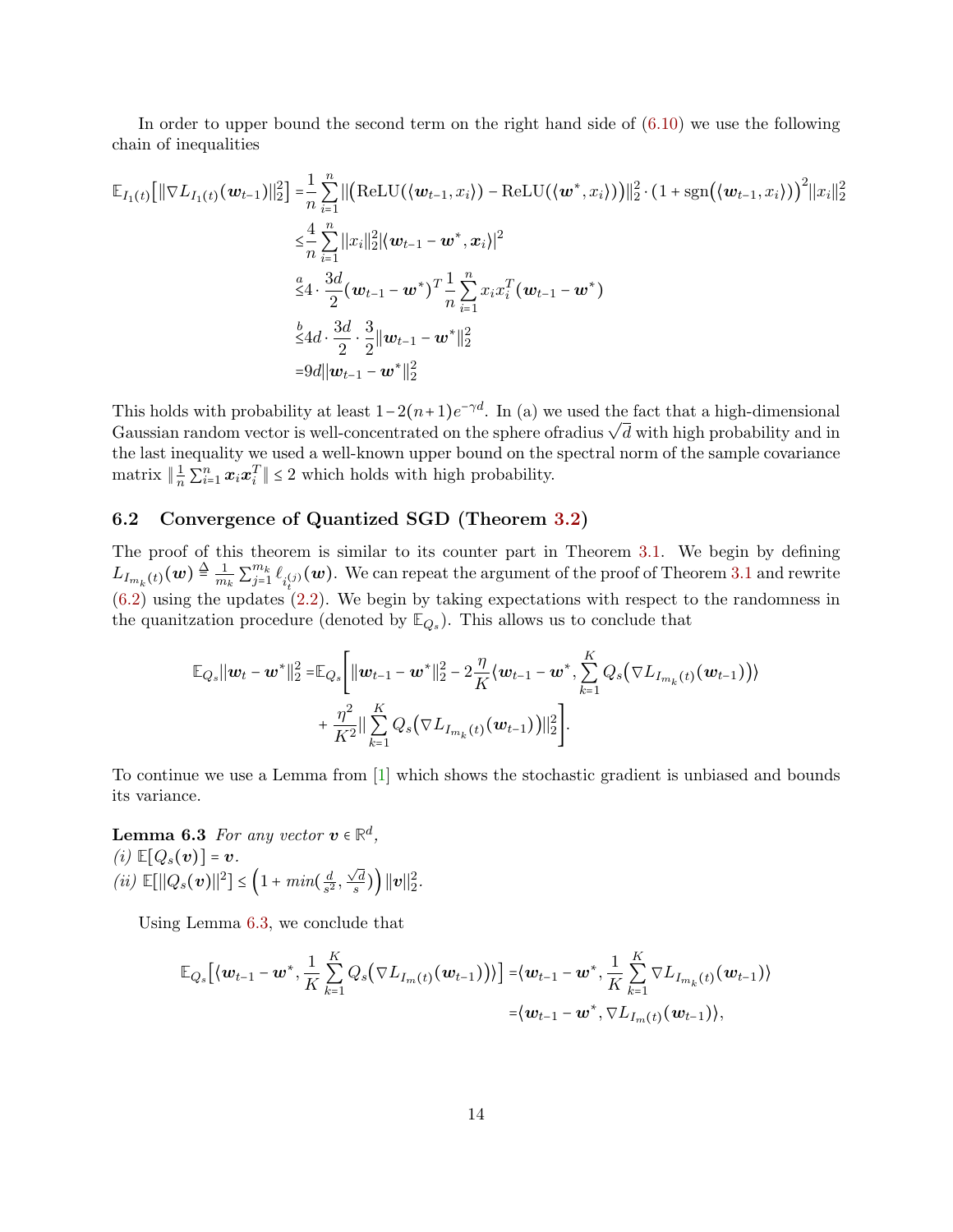In order to upper bound the second term on the right hand side of [\(6.10\)](#page-12-1) we use the following chain of inequalities

$$
\mathbb{E}_{I_1(t)}[\|\nabla L_{I_1(t)}(\mathbf{w}_{t-1})\|_2^2] = \frac{1}{n} \sum_{i=1}^n \|(\text{ReLU}(\langle \mathbf{w}_{t-1}, x_i \rangle) - \text{ReLU}(\langle \mathbf{w}^*, x_i \rangle))\|_2^2 \cdot (1 + \text{sgn}(\langle \mathbf{w}_{t-1}, x_i \rangle))^2 \|x_i\|_2^2
$$
  
\n
$$
\leq \frac{4}{n} \sum_{i=1}^n \|x_i\|_2^2 |\langle \mathbf{w}_{t-1} - \mathbf{w}^*, \mathbf{x}_i \rangle|^2
$$
  
\n
$$
\leq 4 \cdot \frac{3d}{2} (\mathbf{w}_{t-1} - \mathbf{w}^*)^T \frac{1}{n} \sum_{i=1}^n x_i x_i^T (\mathbf{w}_{t-1} - \mathbf{w}^*)
$$
  
\n
$$
\leq 4d \cdot \frac{3d}{2} \cdot \frac{3}{2} \|\mathbf{w}_{t-1} - \mathbf{w}^*\|_2^2
$$
  
\n
$$
= 9d \|\mathbf{w}_{t-1} - \mathbf{w}^*\|_2^2
$$

This holds with probability at least  $1-2(n+1)e^{-\gamma d}$ . In (a) we used the fact that a high-dimensional This holds with probability at least  $1 - 2(n + 1)e^{-n}$ . In (a) we used the fact that a high-differentiated on the sphere of radius  $\sqrt{d}$  with high probability and in the last inequality we used a well-known upper bound on the spectral norm of the sample covariance matrix  $\|\frac{1}{n}\sum_{i=1}^{n} x_i x_i^T\| \leq 2$  which holds with high probability.

#### 6.2 Convergence of Quantized SGD (Theorem [3.2\)](#page-4-0)

The proof of this theorem is similar to its counter part in Theorem [3.1.](#page-2-0) We begin by defining  $L_{I_{m_k}(t)}(\boldsymbol{w}) \triangleq \frac{1}{m_k}$  $\frac{1}{m_k} \sum_{j=1}^{m_k}$  $\frac{m_k}{j=1} \ell_{i(j)}(\boldsymbol{w})$ . We can repeat the argument of the proof of Theorem [3.1](#page-2-0) and rewrite  $(6.2)$  using the updates  $(2.2)$ . We begin by taking expectations with respect to the randomness in the quanitzation procedure (denoted by  $\mathbb{E}_{Q_s}$ ). This allows us to conclude that

$$
\mathbb{E}_{Q_s} ||\boldsymbol{w}_t - \boldsymbol{w}^*||_2^2 = \mathbb{E}_{Q_s} \Bigg[ ||\boldsymbol{w}_{t-1} - \boldsymbol{w}^*||_2^2 - 2\frac{\eta}{K} \langle \boldsymbol{w}_{t-1} - \boldsymbol{w}^*, \sum_{k=1}^K Q_s (\nabla L_{I_{m_k}(t)}(\boldsymbol{w}_{t-1})) \rangle \\ + \frac{\eta^2}{K^2} || \sum_{k=1}^K Q_s (\nabla L_{I_{m_k}(t)}(\boldsymbol{w}_{t-1})) ||_2^2 \Bigg].
$$

To continue we use a Lemma from [\[1\]](#page-14-0) which shows the stochastic gradient is unbiased and bounds its variance.

<span id="page-13-0"></span>**Lemma 6.3** For any vector  $v \in \mathbb{R}^d$ ,  $(i) \mathbb{E}[Q_{s}(v)] = v.$  $(iii) \mathbb{E}[\Vert Q_s(\boldsymbol{v})\Vert^2] \leq (1 + min(\frac{d}{s^2}))$  $\frac{d}{s^2}, \frac{\sqrt{d}}{s}$  $\frac{\langle d}{s})\Big)\|v\|_2^2.$ 

Using Lemma [6.3,](#page-13-0) we conclude that

$$
\mathbb{E}_{Q_s}\big[\langle \boldsymbol{w}_{t-1}-\boldsymbol{w}^*,\frac{1}{K}\sum_{k=1}^KQ_s\big(\nabla L_{I_m(t)}(\boldsymbol{w}_{t-1})\big)\rangle\big]=\langle \boldsymbol{w}_{t-1}-\boldsymbol{w}^*,\frac{1}{K}\sum_{k=1}^K\nabla L_{I_{m_k}(t)}(\boldsymbol{w}_{t-1})\rangle\\=\langle \boldsymbol{w}_{t-1}-\boldsymbol{w}^*,\nabla L_{I_m(t)}(\boldsymbol{w}_{t-1})\rangle,
$$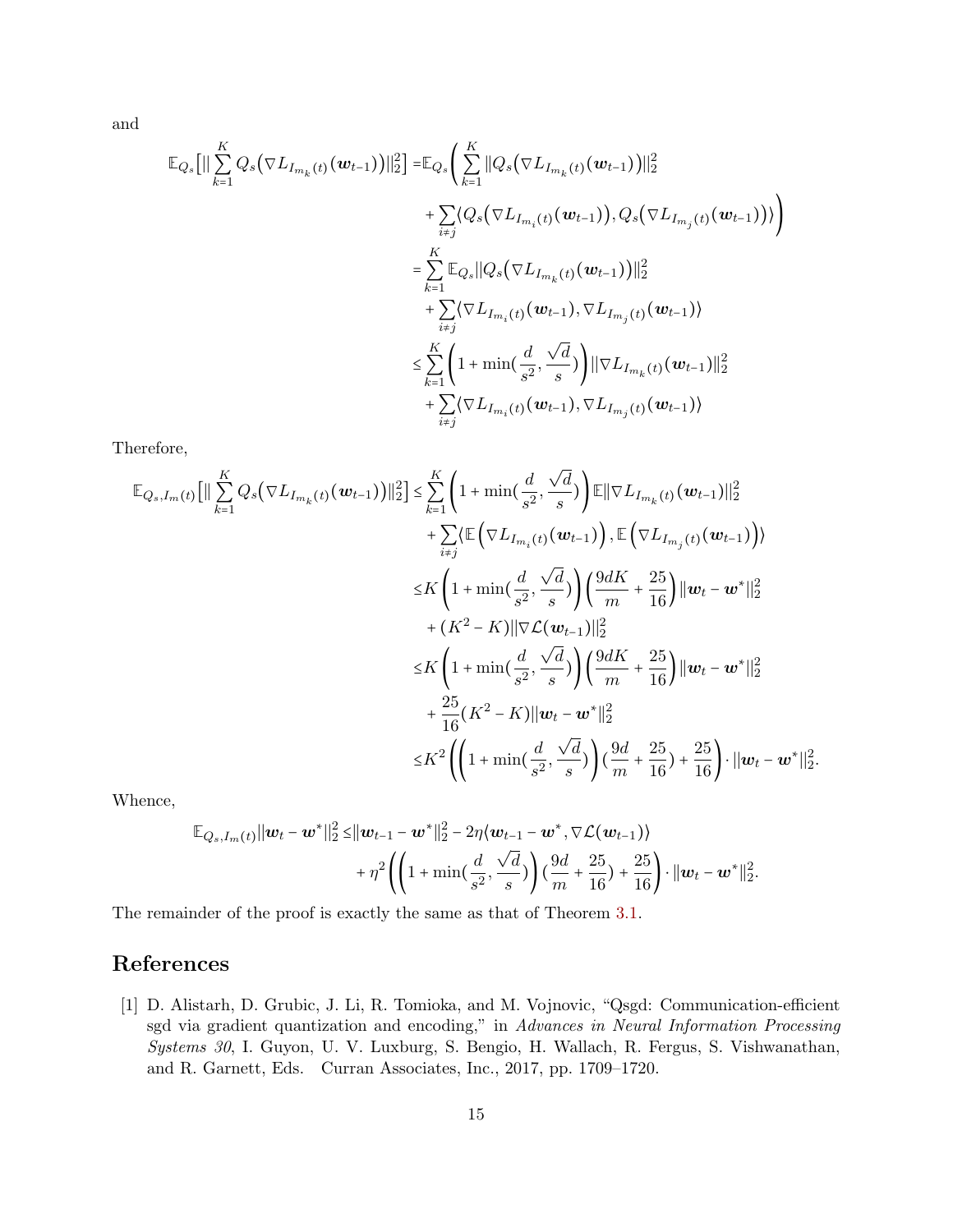and

$$
\mathbb{E}_{Q_s}[\|\sum_{k=1}^{K}Q_s(\nabla L_{I_{m_k}(t)}(\boldsymbol{w}_{t-1}))\|_2^2] = \mathbb{E}_{Q_s} \Bigg( \sum_{k=1}^{K} ||Q_s(\nabla L_{I_{m_k}(t)}(\boldsymbol{w}_{t-1}))||_2^2 \n+ \sum_{i \neq j} \langle Q_s(\nabla L_{I_{m_i}(t)}(\boldsymbol{w}_{t-1})), Q_s(\nabla L_{I_{m_j}(t)}(\boldsymbol{w}_{t-1})) \rangle \Bigg) \n= \sum_{k=1}^{K} \mathbb{E}_{Q_s} ||Q_s(\nabla L_{I_{m_k}(t)}(\boldsymbol{w}_{t-1}))||_2^2 \n+ \sum_{i \neq j} \langle \nabla L_{I_{m_i}(t)}(\boldsymbol{w}_{t-1}), \nabla L_{I_{m_j}(t)}(\boldsymbol{w}_{t-1}) \rangle \n\leq \sum_{k=1}^{K} \left(1 + \min(\frac{d}{s^2}, \frac{\sqrt{d}}{s})\right) ||\nabla L_{I_{m_k}(t)}(\boldsymbol{w}_{t-1})||_2^2 \n+ \sum_{i \neq j} \langle \nabla L_{I_{m_i}(t)}(\boldsymbol{w}_{t-1}), \nabla L_{I_{m_j}(t)}(\boldsymbol{w}_{t-1}) \rangle
$$

Therefore,

$$
\mathbb{E}_{Q_s, I_m(t)}[||\sum_{k=1}^K Q_s(\nabla L_{I_{m_k}(t)}(\mathbf{w}_{t-1}))||_2^2] \leq \sum_{k=1}^K \left(1 + \min(\frac{d}{s^2}, \frac{\sqrt{d}}{s})\right) \mathbb{E}||\nabla L_{I_{m_k}(t)}(\mathbf{w}_{t-1})||_2^2 \n+ \sum_{i \neq j} \left(\mathbb{E}\left(\nabla L_{I_{m_i}(t)}(\mathbf{w}_{t-1})\right), \mathbb{E}\left(\nabla L_{I_{m_j}(t)}(\mathbf{w}_{t-1})\right)\right) \n\leq K \left(1 + \min(\frac{d}{s^2}, \frac{\sqrt{d}}{s})\right) \left(\frac{9dK}{m} + \frac{25}{16}\right) ||\mathbf{w}_t - \mathbf{w}^*||_2^2 \n+ (K^2 - K)||\nabla \mathcal{L}(\mathbf{w}_{t-1})||_2^2 \n\leq K \left(1 + \min(\frac{d}{s^2}, \frac{\sqrt{d}}{s})\right) \left(\frac{9dK}{m} + \frac{25}{16}\right) ||\mathbf{w}_t - \mathbf{w}^*||_2^2 \n+ \frac{25}{16}(K^2 - K)||\mathbf{w}_t - \mathbf{w}^*||_2^2 \n\leq K^2 \left(\left(1 + \min(\frac{d}{s^2}, \frac{\sqrt{d}}{s})\right) \left(\frac{9d}{m} + \frac{25}{16}\right) + \frac{25}{16}\right) \cdot ||\mathbf{w}_t - \mathbf{w}^*||_2^2.
$$

Whence,

$$
\mathbb{E}_{Q_s, I_m(t)} ||\mathbf{w}_t - \mathbf{w}^*||_2^2 \le ||\mathbf{w}_{t-1} - \mathbf{w}^*||_2^2 - 2\eta \langle \mathbf{w}_{t-1} - \mathbf{w}^*, \nabla \mathcal{L}(\mathbf{w}_{t-1}) \rangle + \eta^2 \left( \left( 1 + \min\left( \frac{d}{s^2}, \frac{\sqrt{d}}{s} \right) \right) \left( \frac{9d}{m} + \frac{25}{16} \right) + \frac{25}{16} \right) \cdot ||\mathbf{w}_t - \mathbf{w}^*||_2^2
$$

.

The remainder of the proof is exactly the same as that of Theorem [3.1.](#page-2-0)

## References

<span id="page-14-0"></span>[1] D. Alistarh, D. Grubic, J. Li, R. Tomioka, and M. Vojnovic, "Qsgd: Communication-efficient sgd via gradient quantization and encoding," in Advances in Neural Information Processing Systems 30, I. Guyon, U. V. Luxburg, S. Bengio, H. Wallach, R. Fergus, S. Vishwanathan, and R. Garnett, Eds. Curran Associates, Inc., 2017, pp. 1709–1720.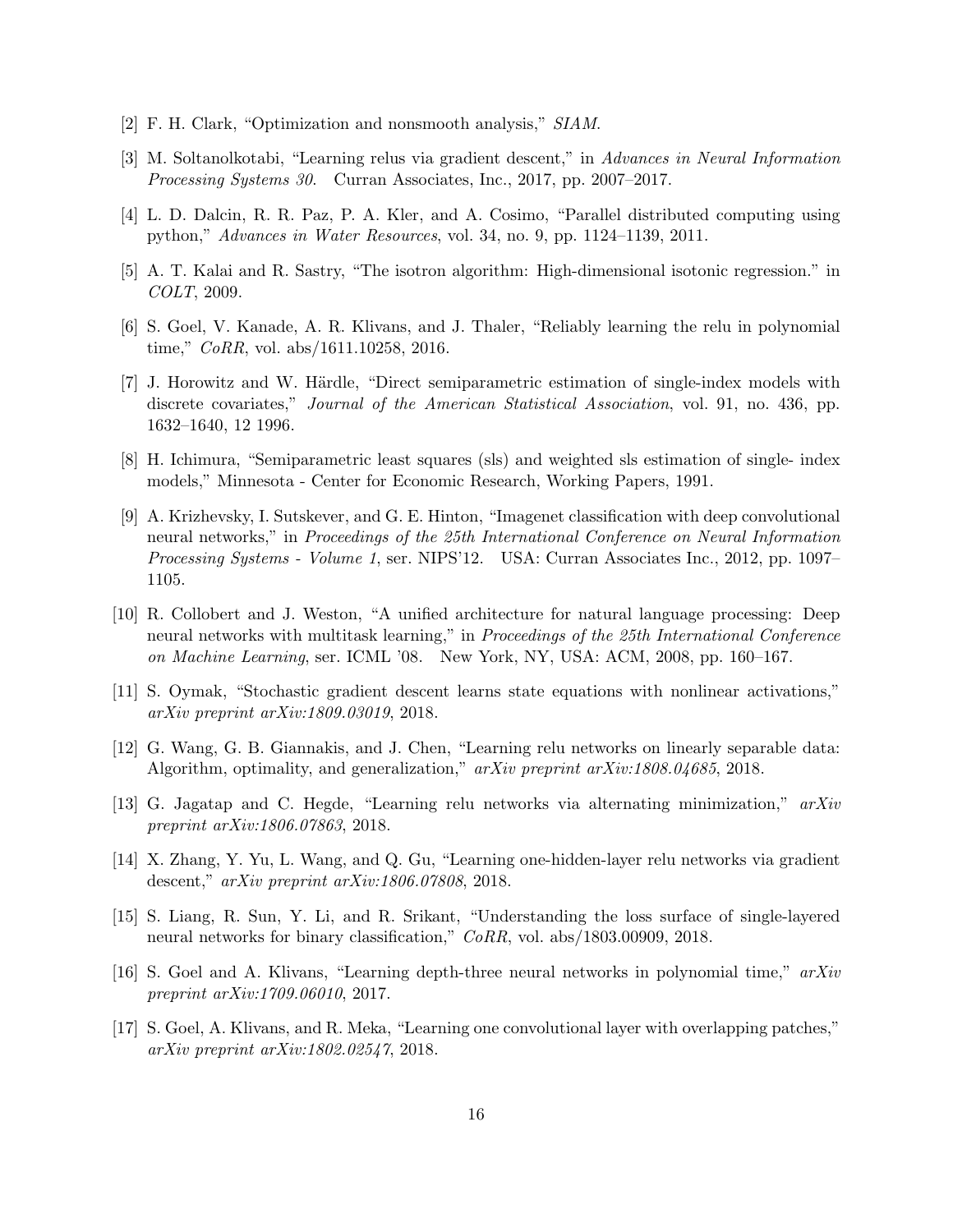- <span id="page-15-0"></span>[2] F. H. Clark, "Optimization and nonsmooth analysis," SIAM.
- <span id="page-15-1"></span>[3] M. Soltanolkotabi, "Learning relus via gradient descent," in Advances in Neural Information Processing Systems 30. Curran Associates, Inc., 2017, pp. 2007–2017.
- <span id="page-15-2"></span>[4] L. D. Dalcin, R. R. Paz, P. A. Kler, and A. Cosimo, "Parallel distributed computing using python," Advances in Water Resources, vol. 34, no. 9, pp. 1124–1139, 2011.
- <span id="page-15-3"></span>[5] A. T. Kalai and R. Sastry, "The isotron algorithm: High-dimensional isotonic regression." in COLT, 2009.
- <span id="page-15-4"></span>[6] S. Goel, V. Kanade, A. R. Klivans, and J. Thaler, "Reliably learning the relu in polynomial time," CoRR, vol. abs/1611.10258, 2016.
- <span id="page-15-5"></span>[7] J. Horowitz and W. Härdle, "Direct semiparametric estimation of single-index models with discrete covariates," Journal of the American Statistical Association, vol. 91, no. 436, pp. 1632–1640, 12 1996.
- <span id="page-15-6"></span>[8] H. Ichimura, "Semiparametric least squares (sls) and weighted sls estimation of single- index models," Minnesota - Center for Economic Research, Working Papers, 1991.
- <span id="page-15-7"></span>[9] A. Krizhevsky, I. Sutskever, and G. E. Hinton, "Imagenet classification with deep convolutional neural networks," in Proceedings of the 25th International Conference on Neural Information Processing Systems - Volume 1, ser. NIPS'12. USA: Curran Associates Inc., 2012, pp. 1097– 1105.
- <span id="page-15-8"></span>[10] R. Collobert and J. Weston, "A unified architecture for natural language processing: Deep neural networks with multitask learning," in Proceedings of the 25th International Conference on Machine Learning, ser. ICML '08. New York, NY, USA: ACM, 2008, pp. 160–167.
- <span id="page-15-9"></span>[11] S. Oymak, "Stochastic gradient descent learns state equations with nonlinear activations," arXiv preprint arXiv:1809.03019, 2018.
- <span id="page-15-10"></span>[12] G. Wang, G. B. Giannakis, and J. Chen, "Learning relu networks on linearly separable data: Algorithm, optimality, and generalization," arXiv preprint arXiv:1808.04685, 2018.
- <span id="page-15-11"></span>[13] G. Jagatap and C. Hegde, "Learning relu networks via alternating minimization," arXiv preprint arXiv:1806.07863, 2018.
- <span id="page-15-12"></span>[14] X. Zhang, Y. Yu, L. Wang, and Q. Gu, "Learning one-hidden-layer relu networks via gradient descent," arXiv preprint arXiv:1806.07808, 2018.
- <span id="page-15-13"></span>[15] S. Liang, R. Sun, Y. Li, and R. Srikant, "Understanding the loss surface of single-layered neural networks for binary classification," CoRR, vol. abs/1803.00909, 2018.
- <span id="page-15-14"></span>[16] S. Goel and A. Klivans, "Learning depth-three neural networks in polynomial time," arXiv preprint arXiv:1709.06010, 2017.
- <span id="page-15-15"></span>[17] S. Goel, A. Klivans, and R. Meka, "Learning one convolutional layer with overlapping patches," arXiv preprint arXiv:1802.02547, 2018.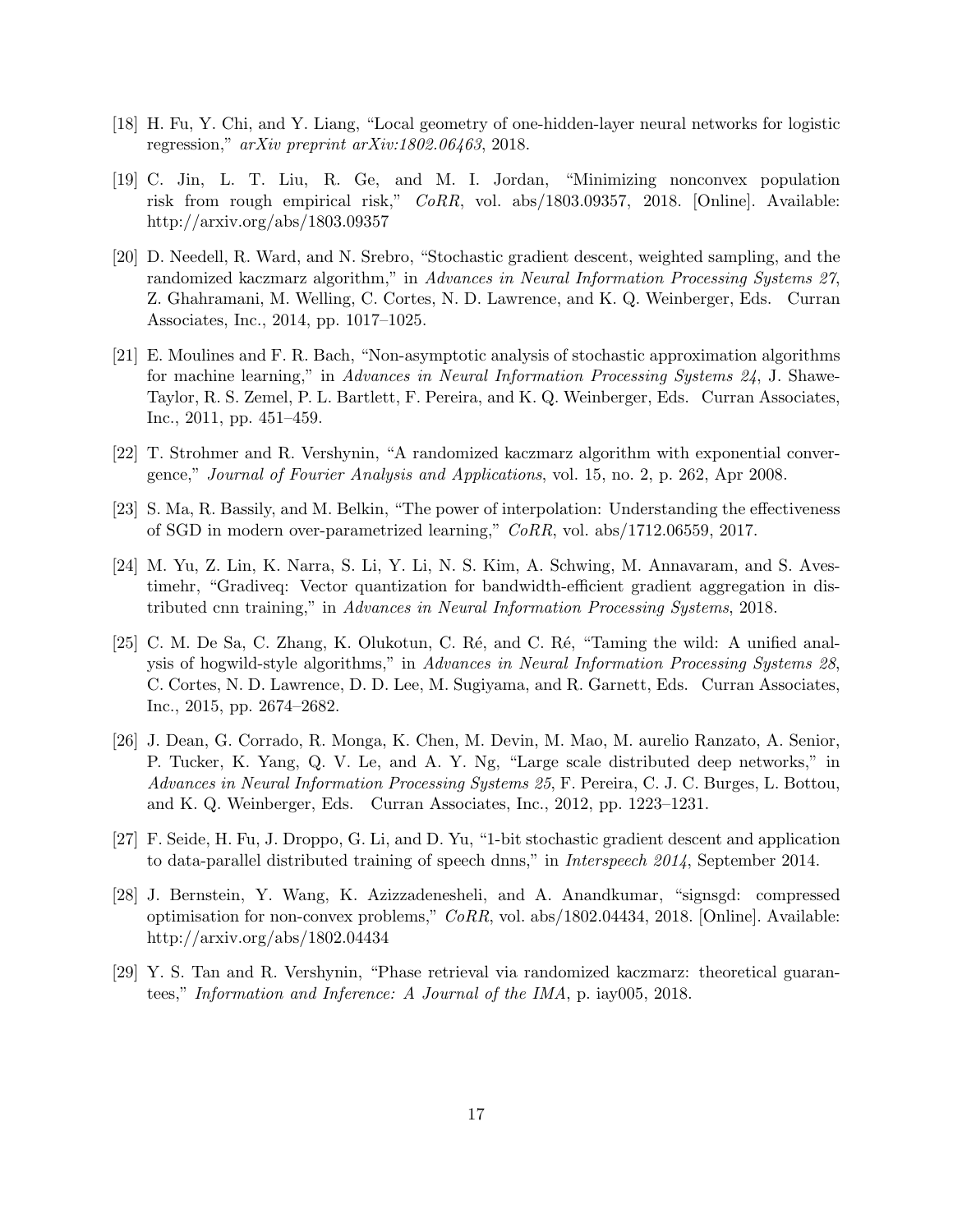- <span id="page-16-0"></span>[18] H. Fu, Y. Chi, and Y. Liang, "Local geometry of one-hidden-layer neural networks for logistic regression," arXiv preprint arXiv:1802.06463, 2018.
- <span id="page-16-1"></span>[19] C. Jin, L. T. Liu, R. Ge, and M. I. Jordan, "Minimizing nonconvex population risk from rough empirical risk," CoRR, vol. abs/1803.09357, 2018. [Online]. Available: <http://arxiv.org/abs/1803.09357>
- <span id="page-16-2"></span>[20] D. Needell, R. Ward, and N. Srebro, "Stochastic gradient descent, weighted sampling, and the randomized kaczmarz algorithm," in Advances in Neural Information Processing Systems 27, Z. Ghahramani, M. Welling, C. Cortes, N. D. Lawrence, and K. Q. Weinberger, Eds. Curran Associates, Inc., 2014, pp. 1017–1025.
- <span id="page-16-3"></span>[21] E. Moulines and F. R. Bach, "Non-asymptotic analysis of stochastic approximation algorithms for machine learning," in Advances in Neural Information Processing Systems 24, J. Shawe-Taylor, R. S. Zemel, P. L. Bartlett, F. Pereira, and K. Q. Weinberger, Eds. Curran Associates, Inc., 2011, pp. 451–459.
- <span id="page-16-4"></span>[22] T. Strohmer and R. Vershynin, "A randomized kaczmarz algorithm with exponential convergence," Journal of Fourier Analysis and Applications, vol. 15, no. 2, p. 262, Apr 2008.
- <span id="page-16-5"></span>[23] S. Ma, R. Bassily, and M. Belkin, "The power of interpolation: Understanding the effectiveness of SGD in modern over-parametrized learning," CoRR, vol. abs/1712.06559, 2017.
- <span id="page-16-6"></span>[24] M. Yu, Z. Lin, K. Narra, S. Li, Y. Li, N. S. Kim, A. Schwing, M. Annavaram, and S. Avestimehr, "Gradiveq: Vector quantization for bandwidth-efficient gradient aggregation in distributed cnn training," in Advances in Neural Information Processing Systems, 2018.
- <span id="page-16-7"></span>[25] C. M. De Sa, C. Zhang, K. Olukotun, C. Ré, and C. Ré, "Taming the wild: A unified analysis of hogwild-style algorithms," in Advances in Neural Information Processing Systems 28, C. Cortes, N. D. Lawrence, D. D. Lee, M. Sugiyama, and R. Garnett, Eds. Curran Associates, Inc., 2015, pp. 2674–2682.
- <span id="page-16-8"></span>[26] J. Dean, G. Corrado, R. Monga, K. Chen, M. Devin, M. Mao, M. aurelio Ranzato, A. Senior, P. Tucker, K. Yang, Q. V. Le, and A. Y. Ng, "Large scale distributed deep networks," in Advances in Neural Information Processing Systems 25, F. Pereira, C. J. C. Burges, L. Bottou, and K. Q. Weinberger, Eds. Curran Associates, Inc., 2012, pp. 1223–1231.
- <span id="page-16-9"></span>[27] F. Seide, H. Fu, J. Droppo, G. Li, and D. Yu, "1-bit stochastic gradient descent and application to data-parallel distributed training of speech dnns," in Interspeech 2014, September 2014.
- <span id="page-16-10"></span>[28] J. Bernstein, Y. Wang, K. Azizzadenesheli, and A. Anandkumar, "signsgd: compressed optimisation for non-convex problems," CoRR, vol. abs/1802.04434, 2018. [Online]. Available: <http://arxiv.org/abs/1802.04434>
- <span id="page-16-11"></span>[29] Y. S. Tan and R. Vershynin, "Phase retrieval via randomized kaczmarz: theoretical guarantees," Information and Inference: A Journal of the IMA, p. iay005, 2018.